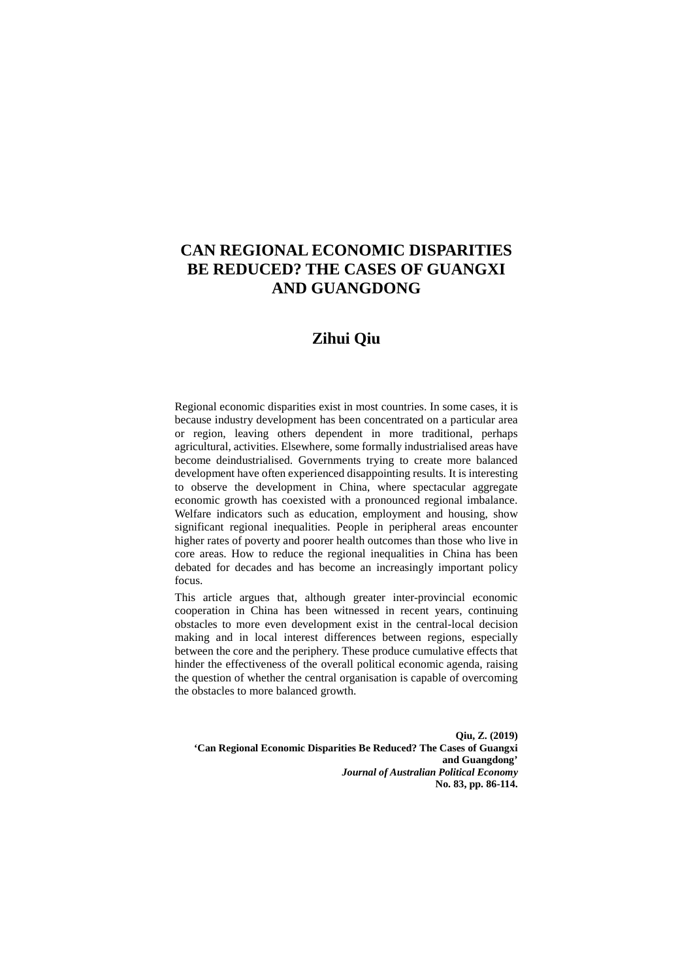# **CAN REGIONAL ECONOMIC DISPARITIES BE REDUCED? THE CASES OF GUANGXI AND GUANGDONG**

# **Zihui Qiu**

Regional economic disparities exist in most countries. In some cases, it is because industry development has been concentrated on a particular area or region, leaving others dependent in more traditional, perhaps agricultural, activities. Elsewhere, some formally industrialised areas have become deindustrialised. Governments trying to create more balanced development have often experienced disappointing results. It is interesting to observe the development in China, where spectacular aggregate economic growth has coexisted with a pronounced regional imbalance. Welfare indicators such as education, employment and housing, show significant regional inequalities. People in peripheral areas encounter higher rates of poverty and poorer health outcomes than those who live in core areas. How to reduce the regional inequalities in China has been debated for decades and has become an increasingly important policy focus.

This article argues that, although greater inter-provincial economic cooperation in China has been witnessed in recent years, continuing obstacles to more even development exist in the central-local decision making and in local interest differences between regions, especially between the core and the periphery. These produce cumulative effects that hinder the effectiveness of the overall political economic agenda, raising the question of whether the central organisation is capable of overcoming the obstacles to more balanced growth.

**Qiu, Z. (2019) 'Can Regional Economic Disparities Be Reduced? The Cases of Guangxi and Guangdong'**  *Journal of Australian Political Economy* **No. 83, pp. 86-114.**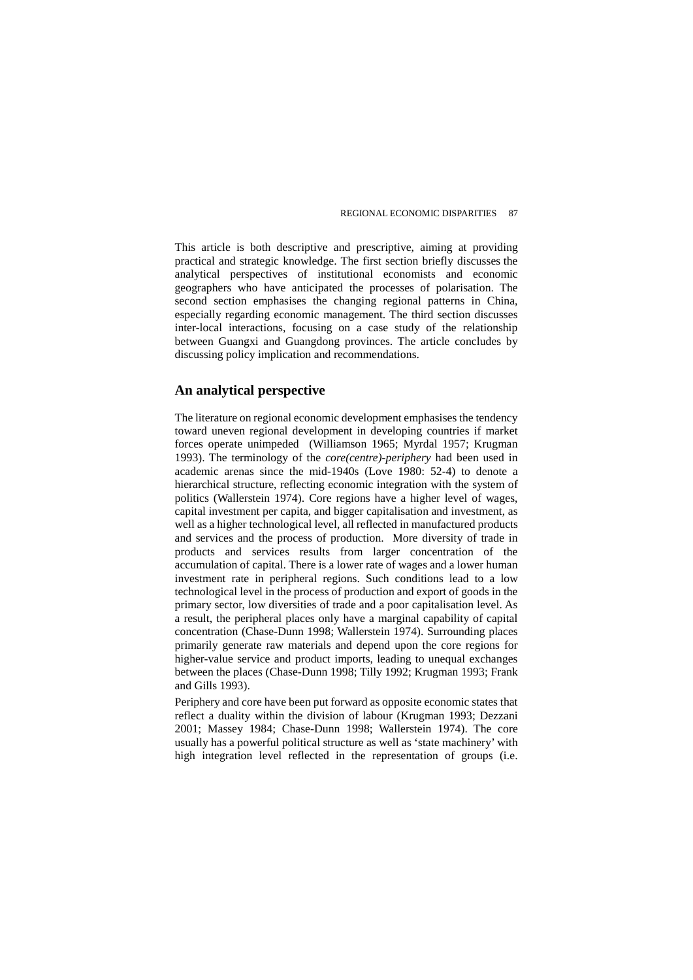This article is both descriptive and prescriptive, aiming at providing practical and strategic knowledge. The first section briefly discusses the analytical perspectives of institutional economists and economic geographers who have anticipated the processes of polarisation. The second section emphasises the changing regional patterns in China, especially regarding economic management. The third section discusses inter-local interactions, focusing on a case study of the relationship between Guangxi and Guangdong provinces. The article concludes by discussing policy implication and recommendations.

# **An analytical perspective**

The literature on regional economic development emphasises the tendency toward uneven regional development in developing countries if market forces operate unimpeded (Williamson 1965; Myrdal 1957; Krugman 1993). The terminology of the *core(centre)-periphery* had been used in academic arenas since the mid-1940s (Love 1980: 52-4) to denote a hierarchical structure, reflecting economic integration with the system of politics (Wallerstein 1974). Core regions have a higher level of wages, capital investment per capita, and bigger capitalisation and investment, as well as a higher technological level, all reflected in manufactured products and services and the process of production. More diversity of trade in products and services results from larger concentration of the accumulation of capital. There is a lower rate of wages and a lower human investment rate in peripheral regions. Such conditions lead to a low technological level in the process of production and export of goods in the primary sector, low diversities of trade and a poor capitalisation level. As a result, the peripheral places only have a marginal capability of capital concentration (Chase-Dunn 1998; Wallerstein 1974). Surrounding places primarily generate raw materials and depend upon the core regions for higher-value service and product imports, leading to unequal exchanges between the places (Chase-Dunn 1998; Tilly 1992; Krugman 1993; Frank and Gills 1993).

Periphery and core have been put forward as opposite economic states that reflect a duality within the division of labour (Krugman 1993; Dezzani 2001; Massey 1984; Chase-Dunn 1998; Wallerstein 1974). The core usually has a powerful political structure as well as 'state machinery' with high integration level reflected in the representation of groups (i.e.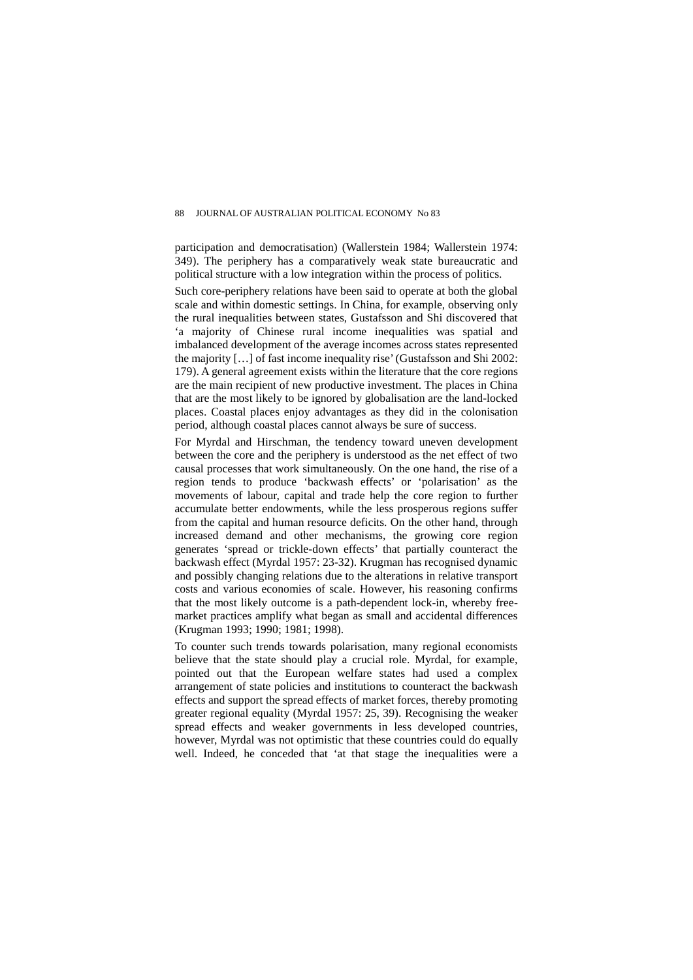participation and democratisation) (Wallerstein 1984; Wallerstein 1974: 349). The periphery has a comparatively weak state bureaucratic and political structure with a low integration within the process of politics.

Such core-periphery relations have been said to operate at both the global scale and within domestic settings. In China, for example, observing only the rural inequalities between states, Gustafsson and Shi discovered that 'a majority of Chinese rural income inequalities was spatial and imbalanced development of the average incomes across states represented the majority […] of fast income inequality rise' (Gustafsson and Shi 2002: 179). A general agreement exists within the literature that the core regions are the main recipient of new productive investment. The places in China that are the most likely to be ignored by globalisation are the land-locked places. Coastal places enjoy advantages as they did in the colonisation period, although coastal places cannot always be sure of success.

For Myrdal and Hirschman, the tendency toward uneven development between the core and the periphery is understood as the net effect of two causal processes that work simultaneously. On the one hand, the rise of a region tends to produce 'backwash effects' or 'polarisation' as the movements of labour, capital and trade help the core region to further accumulate better endowments, while the less prosperous regions suffer from the capital and human resource deficits. On the other hand, through increased demand and other mechanisms, the growing core region generates 'spread or trickle-down effects' that partially counteract the backwash effect (Myrdal 1957: 23-32). Krugman has recognised dynamic and possibly changing relations due to the alterations in relative transport costs and various economies of scale. However, his reasoning confirms that the most likely outcome is a path-dependent lock-in, whereby freemarket practices amplify what began as small and accidental differences (Krugman 1993; 1990; 1981; 1998).

To counter such trends towards polarisation, many regional economists believe that the state should play a crucial role. Myrdal, for example, pointed out that the European welfare states had used a complex arrangement of state policies and institutions to counteract the backwash effects and support the spread effects of market forces, thereby promoting greater regional equality (Myrdal 1957: 25, 39). Recognising the weaker spread effects and weaker governments in less developed countries, however, Myrdal was not optimistic that these countries could do equally well. Indeed, he conceded that 'at that stage the inequalities were a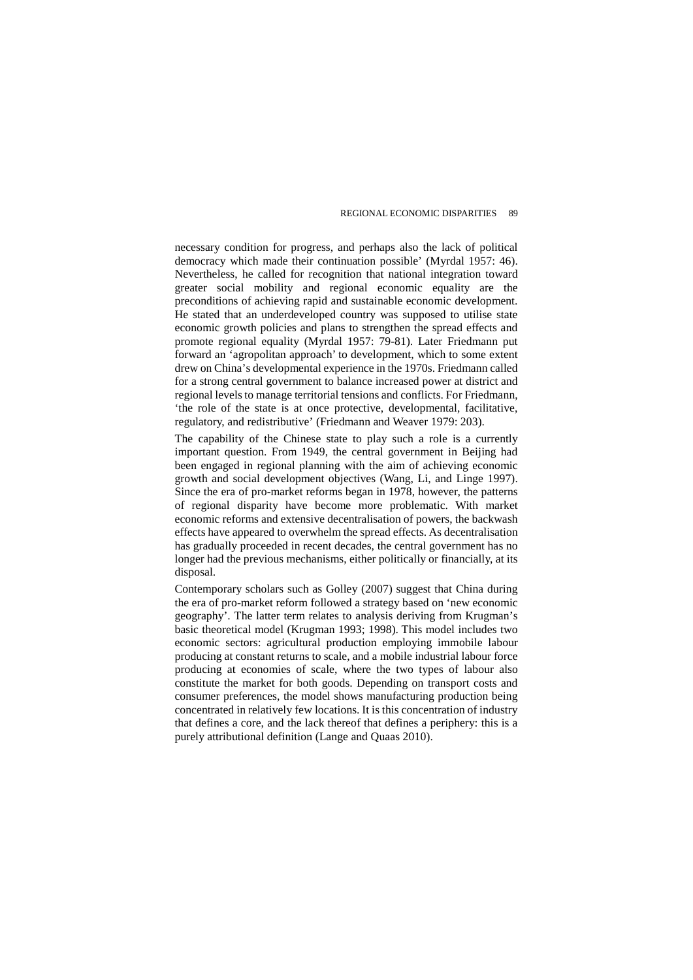necessary condition for progress, and perhaps also the lack of political democracy which made their continuation possible' (Myrdal 1957: 46). Nevertheless, he called for recognition that national integration toward greater social mobility and regional economic equality are the preconditions of achieving rapid and sustainable economic development. He stated that an underdeveloped country was supposed to utilise state economic growth policies and plans to strengthen the spread effects and promote regional equality (Myrdal 1957: 79-81). Later Friedmann put forward an 'agropolitan approach' to development, which to some extent drew on China's developmental experience in the 1970s. Friedmann called for a strong central government to balance increased power at district and regional levels to manage territorial tensions and conflicts. For Friedmann, 'the role of the state is at once protective, developmental, facilitative, regulatory, and redistributive' (Friedmann and Weaver 1979: 203).

The capability of the Chinese state to play such a role is a currently important question. From 1949, the central government in Beijing had been engaged in regional planning with the aim of achieving economic growth and social development objectives (Wang, Li, and Linge 1997). Since the era of pro-market reforms began in 1978, however, the patterns of regional disparity have become more problematic. With market economic reforms and extensive decentralisation of powers, the backwash effects have appeared to overwhelm the spread effects. As decentralisation has gradually proceeded in recent decades, the central government has no longer had the previous mechanisms, either politically or financially, at its disposal.

Contemporary scholars such as Golley (2007) suggest that China during the era of pro-market reform followed a strategy based on 'new economic geography'. The latter term relates to analysis deriving from Krugman's basic theoretical model (Krugman 1993; 1998). This model includes two economic sectors: agricultural production employing immobile labour producing at constant returns to scale, and a mobile industrial labour force producing at economies of scale, where the two types of labour also constitute the market for both goods. Depending on transport costs and consumer preferences, the model shows manufacturing production being concentrated in relatively few locations. It is this concentration of industry that defines a core, and the lack thereof that defines a periphery: this is a purely attributional definition (Lange and Quaas 2010).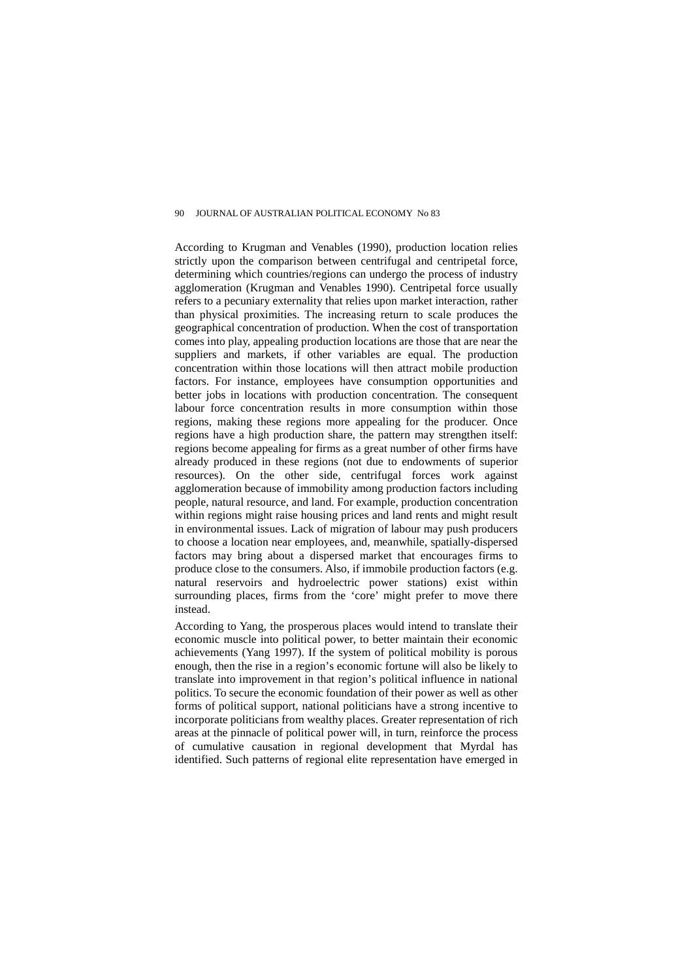According to Krugman and Venables (1990), production location relies strictly upon the comparison between centrifugal and centripetal force, determining which countries/regions can undergo the process of industry agglomeration (Krugman and Venables 1990). Centripetal force usually refers to a pecuniary externality that relies upon market interaction, rather than physical proximities. The increasing return to scale produces the geographical concentration of production. When the cost of transportation comes into play, appealing production locations are those that are near the suppliers and markets, if other variables are equal. The production concentration within those locations will then attract mobile production factors. For instance, employees have consumption opportunities and better jobs in locations with production concentration. The consequent labour force concentration results in more consumption within those regions, making these regions more appealing for the producer. Once regions have a high production share, the pattern may strengthen itself: regions become appealing for firms as a great number of other firms have already produced in these regions (not due to endowments of superior resources). On the other side, centrifugal forces work against agglomeration because of immobility among production factors including people, natural resource, and land. For example, production concentration within regions might raise housing prices and land rents and might result in environmental issues. Lack of migration of labour may push producers to choose a location near employees, and, meanwhile, spatially-dispersed factors may bring about a dispersed market that encourages firms to produce close to the consumers. Also, if immobile production factors (e.g. natural reservoirs and hydroelectric power stations) exist within surrounding places, firms from the 'core' might prefer to move there instead.

According to Yang, the prosperous places would intend to translate their economic muscle into political power, to better maintain their economic achievements (Yang 1997). If the system of political mobility is porous enough, then the rise in a region's economic fortune will also be likely to translate into improvement in that region's political influence in national politics. To secure the economic foundation of their power as well as other forms of political support, national politicians have a strong incentive to incorporate politicians from wealthy places. Greater representation of rich areas at the pinnacle of political power will, in turn, reinforce the process of cumulative causation in regional development that Myrdal has identified. Such patterns of regional elite representation have emerged in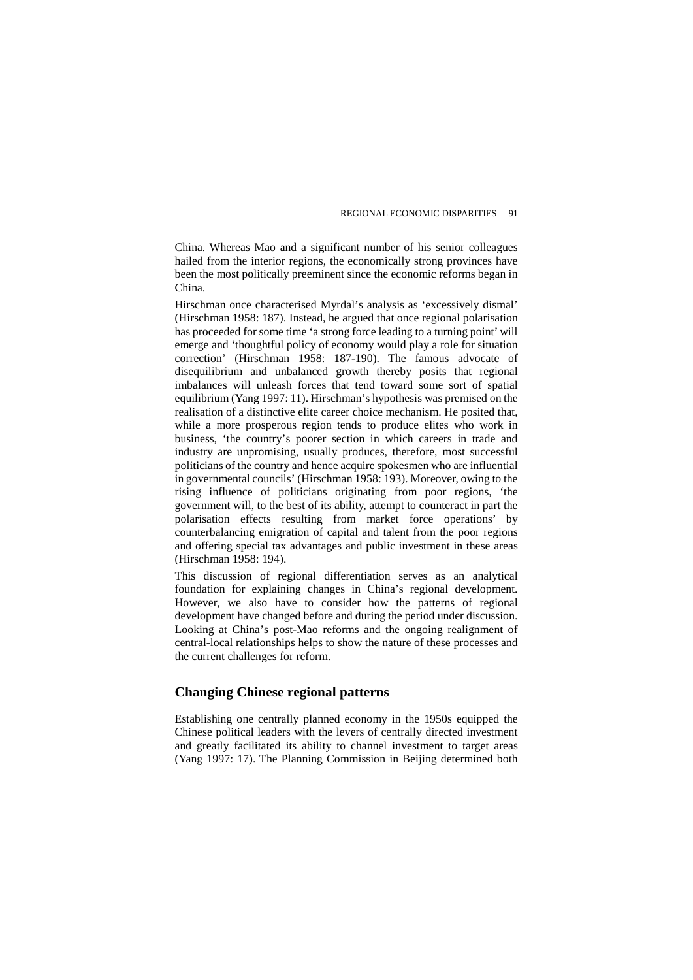China. Whereas Mao and a significant number of his senior colleagues hailed from the interior regions, the economically strong provinces have been the most politically preeminent since the economic reforms began in China.

Hirschman once characterised Myrdal's analysis as 'excessively dismal' (Hirschman 1958: 187). Instead, he argued that once regional polarisation has proceeded for some time 'a strong force leading to a turning point' will emerge and 'thoughtful policy of economy would play a role for situation correction' (Hirschman 1958: 187-190). The famous advocate of disequilibrium and unbalanced growth thereby posits that regional imbalances will unleash forces that tend toward some sort of spatial equilibrium (Yang 1997: 11). Hirschman's hypothesis was premised on the realisation of a distinctive elite career choice mechanism. He posited that, while a more prosperous region tends to produce elites who work in business, 'the country's poorer section in which careers in trade and industry are unpromising, usually produces, therefore, most successful politicians of the country and hence acquire spokesmen who are influential in governmental councils' (Hirschman 1958: 193). Moreover, owing to the rising influence of politicians originating from poor regions, 'the government will, to the best of its ability, attempt to counteract in part the polarisation effects resulting from market force operations' by counterbalancing emigration of capital and talent from the poor regions and offering special tax advantages and public investment in these areas (Hirschman 1958: 194).

This discussion of regional differentiation serves as an analytical foundation for explaining changes in China's regional development. However, we also have to consider how the patterns of regional development have changed before and during the period under discussion. Looking at China's post-Mao reforms and the ongoing realignment of central-local relationships helps to show the nature of these processes and the current challenges for reform.

# **Changing Chinese regional patterns**

Establishing one centrally planned economy in the 1950s equipped the Chinese political leaders with the levers of centrally directed investment and greatly facilitated its ability to channel investment to target areas (Yang 1997: 17). The Planning Commission in Beijing determined both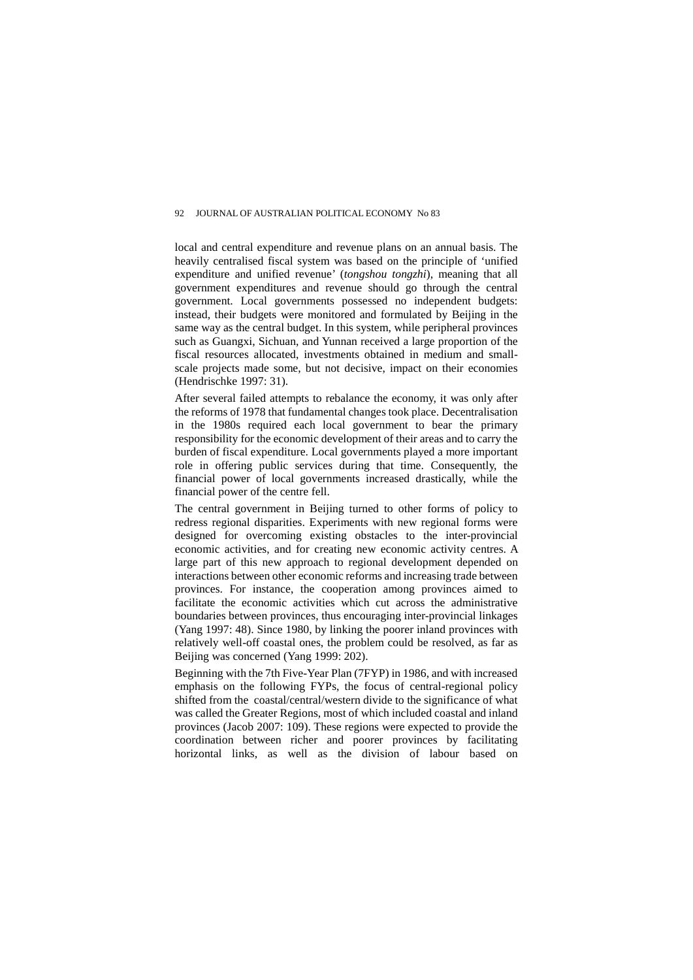local and central expenditure and revenue plans on an annual basis. The heavily centralised fiscal system was based on the principle of 'unified expenditure and unified revenue' (*tongshou tongzhi*), meaning that all government expenditures and revenue should go through the central government. Local governments possessed no independent budgets: instead, their budgets were monitored and formulated by Beijing in the same way as the central budget. In this system, while peripheral provinces such as Guangxi, Sichuan, and Yunnan received a large proportion of the fiscal resources allocated, investments obtained in medium and smallscale projects made some, but not decisive, impact on their economies (Hendrischke 1997: 31).

After several failed attempts to rebalance the economy, it was only after the reforms of 1978 that fundamental changes took place. Decentralisation in the 1980s required each local government to bear the primary responsibility for the economic development of their areas and to carry the burden of fiscal expenditure. Local governments played a more important role in offering public services during that time. Consequently, the financial power of local governments increased drastically, while the financial power of the centre fell.

The central government in Beijing turned to other forms of policy to redress regional disparities. Experiments with new regional forms were designed for overcoming existing obstacles to the inter-provincial economic activities, and for creating new economic activity centres. A large part of this new approach to regional development depended on interactions between other economic reforms and increasing trade between provinces. For instance, the cooperation among provinces aimed to facilitate the economic activities which cut across the administrative boundaries between provinces, thus encouraging inter-provincial linkages (Yang 1997: 48). Since 1980, by linking the poorer inland provinces with relatively well-off coastal ones, the problem could be resolved, as far as Beijing was concerned (Yang 1999: 202).

Beginning with the 7th Five-Year Plan (7FYP) in 1986, and with increased emphasis on the following FYPs, the focus of central-regional policy shifted from the coastal/central/western divide to the significance of what was called the Greater Regions, most of which included coastal and inland provinces (Jacob 2007: 109). These regions were expected to provide the coordination between richer and poorer provinces by facilitating horizontal links, as well as the division of labour based on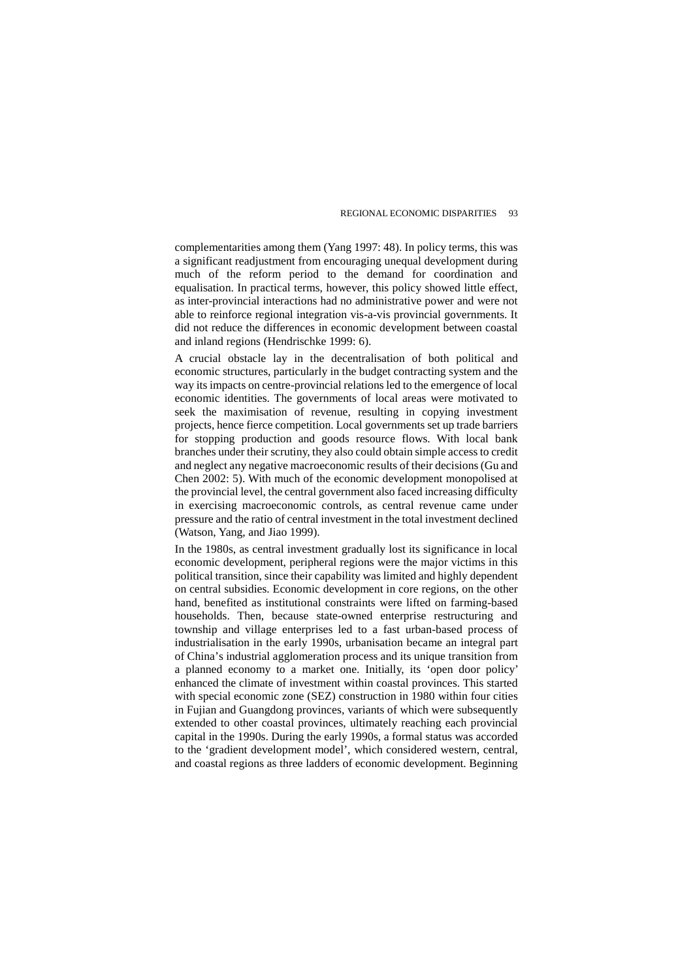complementarities among them (Yang 1997: 48). In policy terms, this was a significant readjustment from encouraging unequal development during much of the reform period to the demand for coordination and equalisation. In practical terms, however, this policy showed little effect, as inter-provincial interactions had no administrative power and were not able to reinforce regional integration vis-a-vis provincial governments. It did not reduce the differences in economic development between coastal and inland regions (Hendrischke 1999: 6).

A crucial obstacle lay in the decentralisation of both political and economic structures, particularly in the budget contracting system and the way its impacts on centre-provincial relations led to the emergence of local economic identities. The governments of local areas were motivated to seek the maximisation of revenue, resulting in copying investment projects, hence fierce competition. Local governments set up trade barriers for stopping production and goods resource flows. With local bank branches under their scrutiny, they also could obtain simple access to credit and neglect any negative macroeconomic results of their decisions (Gu and Chen 2002: 5). With much of the economic development monopolised at the provincial level, the central government also faced increasing difficulty in exercising macroeconomic controls, as central revenue came under pressure and the ratio of central investment in the total investment declined (Watson, Yang, and Jiao 1999).

In the 1980s, as central investment gradually lost its significance in local economic development, peripheral regions were the major victims in this political transition, since their capability was limited and highly dependent on central subsidies. Economic development in core regions, on the other hand, benefited as institutional constraints were lifted on farming-based households. Then, because state-owned enterprise restructuring and township and village enterprises led to a fast urban-based process of industrialisation in the early 1990s, urbanisation became an integral part of China's industrial agglomeration process and its unique transition from a planned economy to a market one. Initially, its 'open door policy' enhanced the climate of investment within coastal provinces. This started with special economic zone (SEZ) construction in 1980 within four cities in Fujian and Guangdong provinces, variants of which were subsequently extended to other coastal provinces, ultimately reaching each provincial capital in the 1990s. During the early 1990s, a formal status was accorded to the 'gradient development model', which considered western, central, and coastal regions as three ladders of economic development. Beginning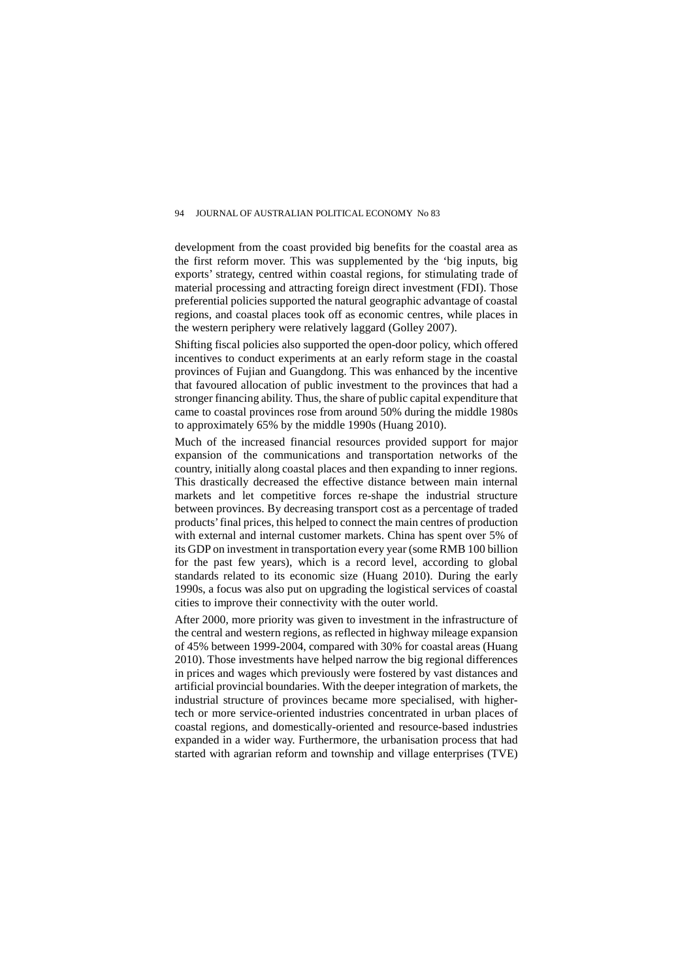development from the coast provided big benefits for the coastal area as the first reform mover. This was supplemented by the 'big inputs, big exports' strategy, centred within coastal regions, for stimulating trade of material processing and attracting foreign direct investment (FDI). Those preferential policies supported the natural geographic advantage of coastal regions, and coastal places took off as economic centres, while places in the western periphery were relatively laggard (Golley 2007).

Shifting fiscal policies also supported the open-door policy, which offered incentives to conduct experiments at an early reform stage in the coastal provinces of Fujian and Guangdong. This was enhanced by the incentive that favoured allocation of public investment to the provinces that had a stronger financing ability. Thus, the share of public capital expenditure that came to coastal provinces rose from around 50% during the middle 1980s to approximately 65% by the middle 1990s (Huang 2010).

Much of the increased financial resources provided support for major expansion of the communications and transportation networks of the country, initially along coastal places and then expanding to inner regions. This drastically decreased the effective distance between main internal markets and let competitive forces re-shape the industrial structure between provinces. By decreasing transport cost as a percentage of traded products' final prices, this helped to connect the main centres of production with external and internal customer markets. China has spent over 5% of its GDP on investment in transportation every year (some RMB 100 billion for the past few years), which is a record level, according to global standards related to its economic size (Huang 2010). During the early 1990s, a focus was also put on upgrading the logistical services of coastal cities to improve their connectivity with the outer world.

After 2000, more priority was given to investment in the infrastructure of the central and western regions, as reflected in highway mileage expansion of 45% between 1999-2004, compared with 30% for coastal areas (Huang 2010). Those investments have helped narrow the big regional differences in prices and wages which previously were fostered by vast distances and artificial provincial boundaries. With the deeper integration of markets, the industrial structure of provinces became more specialised, with highertech or more service-oriented industries concentrated in urban places of coastal regions, and domestically-oriented and resource-based industries expanded in a wider way. Furthermore, the urbanisation process that had started with agrarian reform and township and village enterprises (TVE)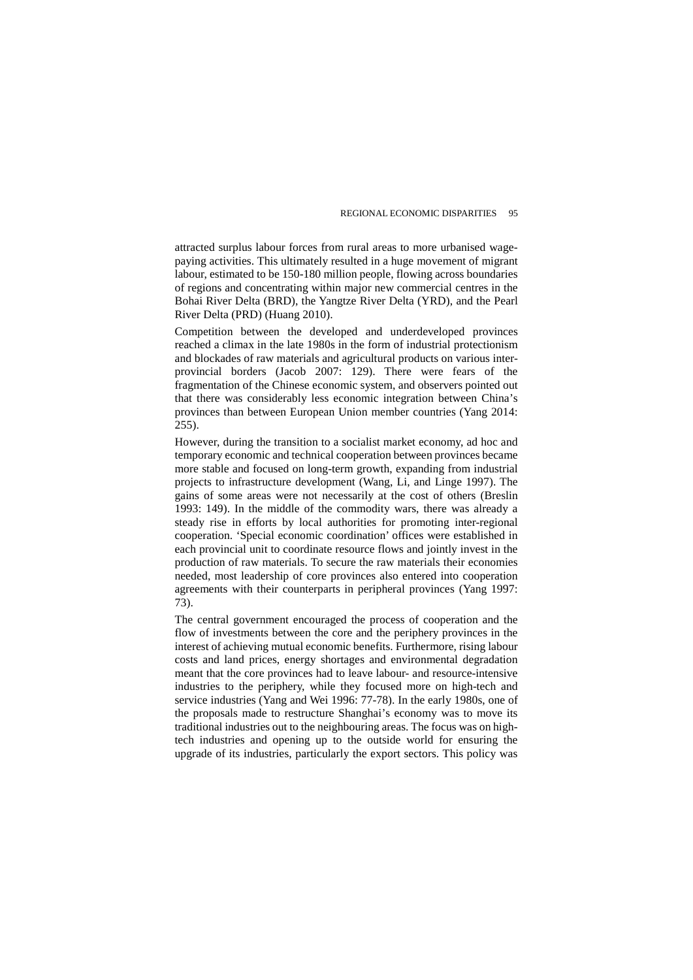attracted surplus labour forces from rural areas to more urbanised wagepaying activities. This ultimately resulted in a huge movement of migrant labour, estimated to be 150-180 million people, flowing across boundaries of regions and concentrating within major new commercial centres in the Bohai River Delta (BRD), the Yangtze River Delta (YRD), and the Pearl River Delta (PRD) (Huang 2010).

Competition between the developed and underdeveloped provinces reached a climax in the late 1980s in the form of industrial protectionism and blockades of raw materials and agricultural products on various interprovincial borders (Jacob 2007: 129). There were fears of the fragmentation of the Chinese economic system, and observers pointed out that there was considerably less economic integration between China's provinces than between European Union member countries (Yang 2014: 255).

However, during the transition to a socialist market economy, ad hoc and temporary economic and technical cooperation between provinces became more stable and focused on long-term growth, expanding from industrial projects to infrastructure development (Wang, Li, and Linge 1997). The gains of some areas were not necessarily at the cost of others (Breslin 1993: 149). In the middle of the commodity wars, there was already a steady rise in efforts by local authorities for promoting inter-regional cooperation. 'Special economic coordination' offices were established in each provincial unit to coordinate resource flows and jointly invest in the production of raw materials. To secure the raw materials their economies needed, most leadership of core provinces also entered into cooperation agreements with their counterparts in peripheral provinces (Yang 1997: 73).

The central government encouraged the process of cooperation and the flow of investments between the core and the periphery provinces in the interest of achieving mutual economic benefits. Furthermore, rising labour costs and land prices, energy shortages and environmental degradation meant that the core provinces had to leave labour- and resource-intensive industries to the periphery, while they focused more on high-tech and service industries (Yang and Wei 1996: 77-78). In the early 1980s, one of the proposals made to restructure Shanghai's economy was to move its traditional industries out to the neighbouring areas. The focus was on hightech industries and opening up to the outside world for ensuring the upgrade of its industries, particularly the export sectors. This policy was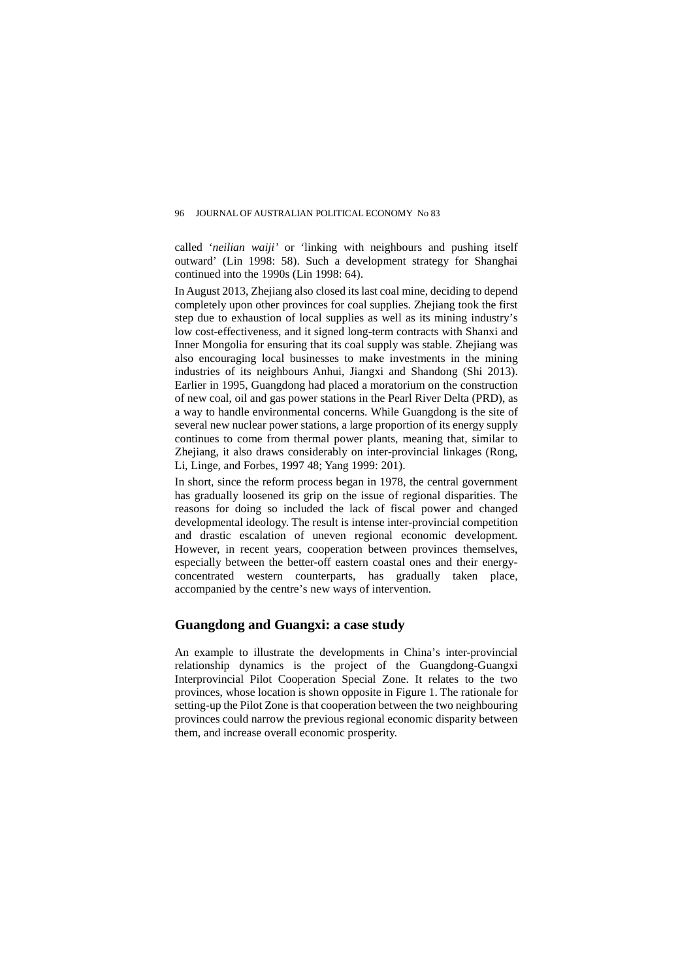called '*neilian waiji'* or 'linking with neighbours and pushing itself outward' (Lin 1998: 58). Such a development strategy for Shanghai continued into the 1990s (Lin 1998: 64).

In August 2013, Zhejiang also closed its last coal mine, deciding to depend completely upon other provinces for coal supplies. Zhejiang took the first step due to exhaustion of local supplies as well as its mining industry's low cost-effectiveness, and it signed long-term contracts with Shanxi and Inner Mongolia for ensuring that its coal supply was stable. Zhejiang was also encouraging local businesses to make investments in the mining industries of its neighbours Anhui, Jiangxi and Shandong (Shi 2013). Earlier in 1995, Guangdong had placed a moratorium on the construction of new coal, oil and gas power stations in the Pearl River Delta (PRD), as a way to handle environmental concerns. While Guangdong is the site of several new nuclear power stations, a large proportion of its energy supply continues to come from thermal power plants, meaning that, similar to Zhejiang, it also draws considerably on inter-provincial linkages (Rong, Li, Linge, and Forbes, 1997 48; Yang 1999: 201).

In short, since the reform process began in 1978, the central government has gradually loosened its grip on the issue of regional disparities. The reasons for doing so included the lack of fiscal power and changed developmental ideology. The result is intense inter-provincial competition and drastic escalation of uneven regional economic development. However, in recent years, cooperation between provinces themselves, especially between the better-off eastern coastal ones and their energyconcentrated western counterparts, has gradually taken place, accompanied by the centre's new ways of intervention.

# **Guangdong and Guangxi: a case study**

An example to illustrate the developments in China's inter-provincial relationship dynamics is the project of the Guangdong-Guangxi Interprovincial Pilot Cooperation Special Zone. It relates to the two provinces, whose location is shown opposite in Figure 1. The rationale for setting-up the Pilot Zone is that cooperation between the two neighbouring provinces could narrow the previous regional economic disparity between them, and increase overall economic prosperity.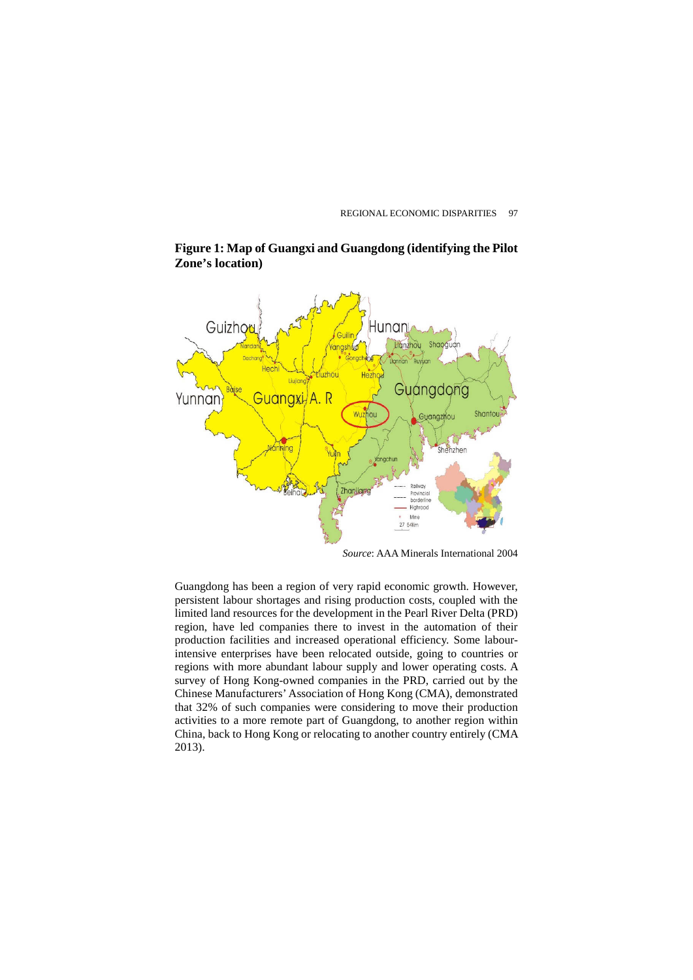

**Figure 1: Map of Guangxi and Guangdong (identifying the Pilot Zone's location)** 

*Source*: AAA Minerals International 2004

Guangdong has been a region of very rapid economic growth. However, persistent labour shortages and rising production costs, coupled with the limited land resources for the development in the Pearl River Delta (PRD) region, have led companies there to invest in the automation of their production facilities and increased operational efficiency. Some labourintensive enterprises have been relocated outside, going to countries or regions with more abundant labour supply and lower operating costs. A survey of Hong Kong-owned companies in the PRD, carried out by the Chinese Manufacturers' Association of Hong Kong (CMA), demonstrated that 32% of such companies were considering to move their production activities to a more remote part of Guangdong, to another region within China, back to Hong Kong or relocating to another country entirely (CMA 2013).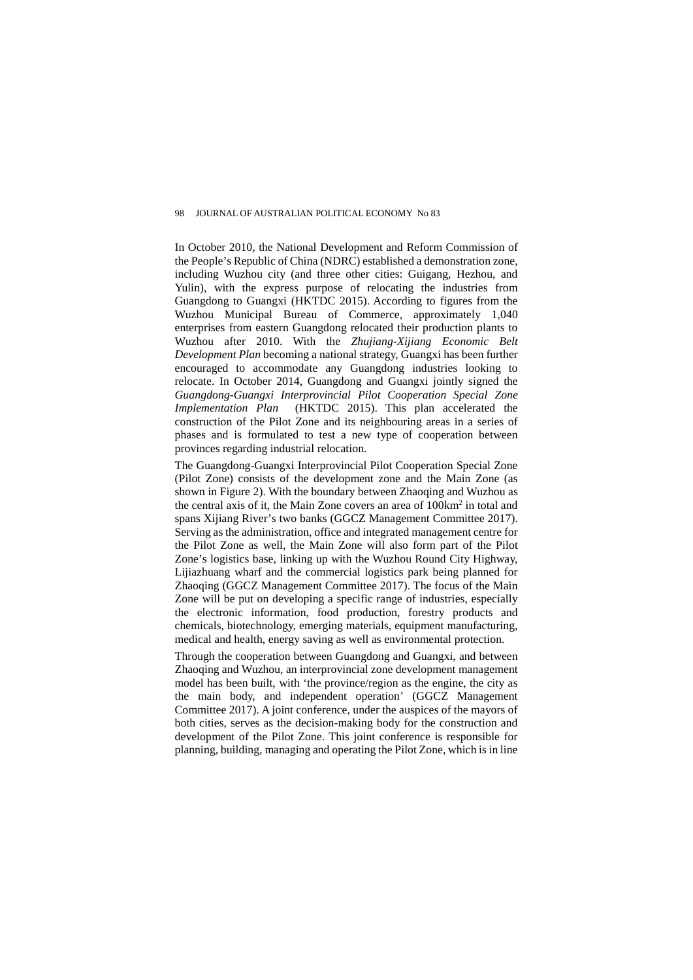In October 2010, the National Development and Reform Commission of the People's Republic of China (NDRC) established a demonstration zone, including Wuzhou city (and three other cities: Guigang, Hezhou, and Yulin), with the express purpose of relocating the industries from Guangdong to Guangxi (HKTDC 2015). According to figures from the Wuzhou Municipal Bureau of Commerce, approximately 1,040 enterprises from eastern Guangdong relocated their production plants to Wuzhou after 2010. With the *Zhujiang-Xijiang Economic Belt Development Plan* becoming a national strategy, Guangxi has been further encouraged to accommodate any Guangdong industries looking to relocate. In October 2014, Guangdong and Guangxi jointly signed the *Guangdong-Guangxi Interprovincial Pilot Cooperation Special Zone Implementation Plan* (HKTDC 2015). This plan accelerated the construction of the Pilot Zone and its neighbouring areas in a series of phases and is formulated to test a new type of cooperation between provinces regarding industrial relocation.

The Guangdong-Guangxi Interprovincial Pilot Cooperation Special Zone (Pilot Zone) consists of the development zone and the Main Zone (as shown in Figure 2). With the boundary between Zhaoqing and Wuzhou as the central axis of it, the Main Zone covers an area of 100km2 in total and spans Xijiang River's two banks (GGCZ Management Committee 2017). Serving as the administration, office and integrated management centre for the Pilot Zone as well, the Main Zone will also form part of the Pilot Zone's logistics base, linking up with the Wuzhou Round City Highway, Lijiazhuang wharf and the commercial logistics park being planned for Zhaoqing (GGCZ Management Committee 2017). The focus of the Main Zone will be put on developing a specific range of industries, especially the electronic information, food production, forestry products and chemicals, biotechnology, emerging materials, equipment manufacturing, medical and health, energy saving as well as environmental protection.

Through the cooperation between Guangdong and Guangxi, and between Zhaoqing and Wuzhou, an interprovincial zone development management model has been built, with 'the province/region as the engine, the city as the main body, and independent operation' (GGCZ Management Committee 2017). A joint conference, under the auspices of the mayors of both cities, serves as the decision-making body for the construction and development of the Pilot Zone. This joint conference is responsible for planning, building, managing and operating the Pilot Zone, which is in line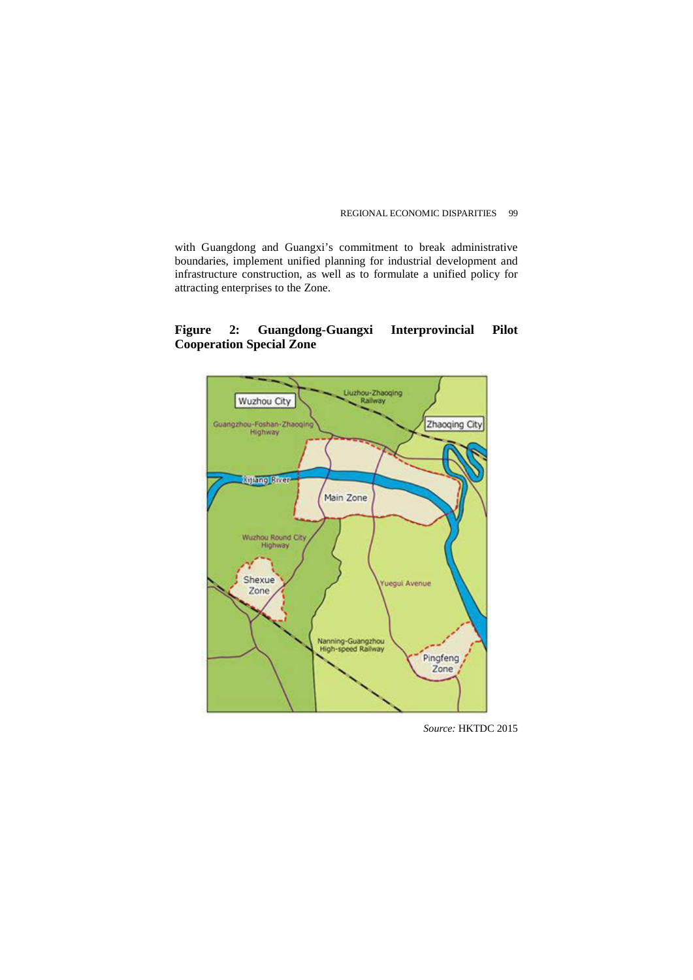with Guangdong and Guangxi's commitment to break administrative boundaries, implement unified planning for industrial development and infrastructure construction, as well as to formulate a unified policy for attracting enterprises to the Zone.

# **Figure 2: Guangdong-Guangxi Interprovincial Pilot Cooperation Special Zone**



*Source:* HKTDC 2015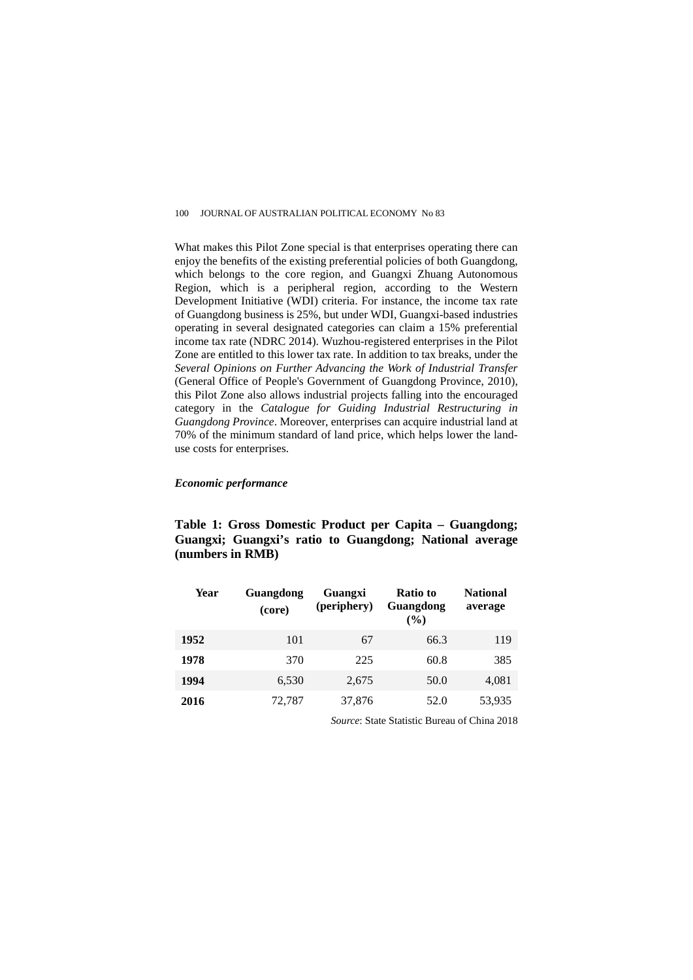What makes this Pilot Zone special is that enterprises operating there can enjoy the benefits of the existing preferential policies of both Guangdong, which belongs to the core region, and Guangxi Zhuang Autonomous Region, which is a peripheral region, according to the Western Development Initiative (WDI) criteria. For instance, the income tax rate of Guangdong business is 25%, but under WDI, Guangxi-based industries operating in several designated categories can claim a 15% preferential income tax rate (NDRC 2014). Wuzhou-registered enterprises in the Pilot Zone are entitled to this lower tax rate. In addition to tax breaks, under the *Several Opinions on Further Advancing the Work of Industrial Transfer* (General Office of People's Government of Guangdong Province, 2010), this Pilot Zone also allows industrial projects falling into the encouraged category in the *Catalogue for Guiding Industrial Restructuring in Guangdong Province*. Moreover, enterprises can acquire industrial land at 70% of the minimum standard of land price, which helps lower the landuse costs for enterprises.

# *Economic performance*

# **Table 1: Gross Domestic Product per Capita – Guangdong; Guangxi; Guangxi's ratio to Guangdong; National average (numbers in RMB)**

| Year | Guangdong<br>(core) | Guangxi<br>(periphery) | Ratio to<br>Guangdong<br>$($ %) | <b>National</b><br>average |
|------|---------------------|------------------------|---------------------------------|----------------------------|
| 1952 | 101                 | 67                     | 66.3                            | 119                        |
| 1978 | 370                 | 225                    | 60.8                            | 385                        |
| 1994 | 6,530               | 2,675                  | 50.0                            | 4,081                      |
| 2016 | 72.787              | 37,876                 | 52.0                            | 53,935                     |

*Source*: State Statistic Bureau of China 2018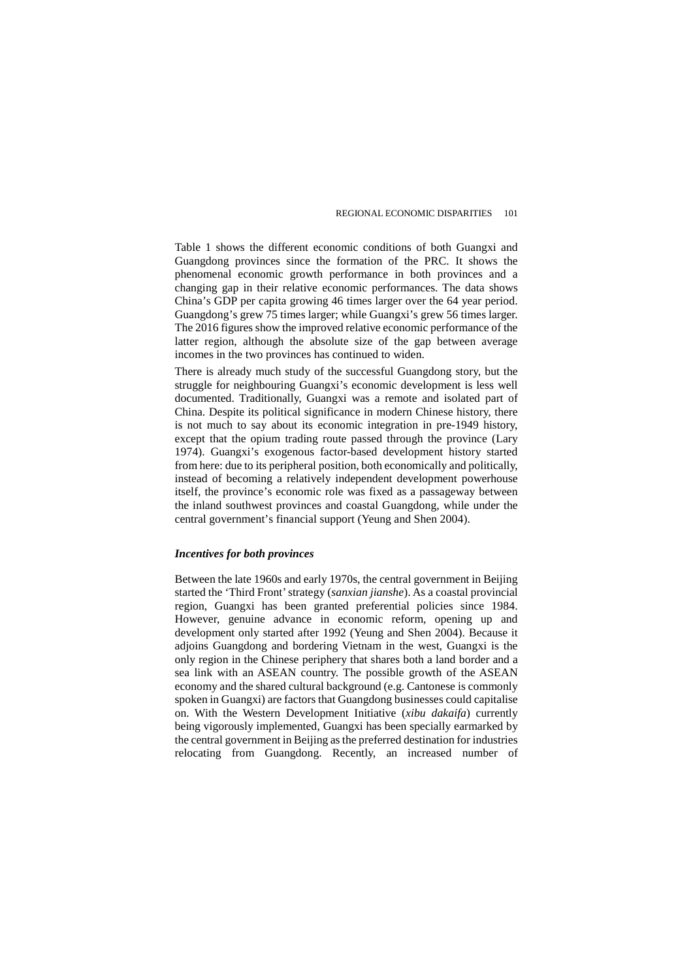Table 1 shows the different economic conditions of both Guangxi and Guangdong provinces since the formation of the PRC. It shows the phenomenal economic growth performance in both provinces and a changing gap in their relative economic performances. The data shows China's GDP per capita growing 46 times larger over the 64 year period. Guangdong's grew 75 times larger; while Guangxi's grew 56 times larger. The 2016 figures show the improved relative economic performance of the latter region, although the absolute size of the gap between average incomes in the two provinces has continued to widen.

There is already much study of the successful Guangdong story, but the struggle for neighbouring Guangxi's economic development is less well documented. Traditionally, Guangxi was a remote and isolated part of China. Despite its political significance in modern Chinese history, there is not much to say about its economic integration in pre-1949 history, except that the opium trading route passed through the province (Lary 1974). Guangxi's exogenous factor-based development history started from here: due to its peripheral position, both economically and politically, instead of becoming a relatively independent development powerhouse itself, the province's economic role was fixed as a passageway between the inland southwest provinces and coastal Guangdong, while under the central government's financial support (Yeung and Shen 2004).

# *Incentives for both provinces*

Between the late 1960s and early 1970s, the central government in Beijing started the 'Third Front' strategy (*sanxian jianshe*). As a coastal provincial region, Guangxi has been granted preferential policies since 1984. However, genuine advance in economic reform, opening up and development only started after 1992 (Yeung and Shen 2004). Because it adjoins Guangdong and bordering Vietnam in the west, Guangxi is the only region in the Chinese periphery that shares both a land border and a sea link with an ASEAN country. The possible growth of the ASEAN economy and the shared cultural background (e.g. Cantonese is commonly spoken in Guangxi) are factors that Guangdong businesses could capitalise on. With the Western Development Initiative (*xibu dakaifa*) currently being vigorously implemented, Guangxi has been specially earmarked by the central government in Beijing as the preferred destination for industries relocating from Guangdong. Recently, an increased number of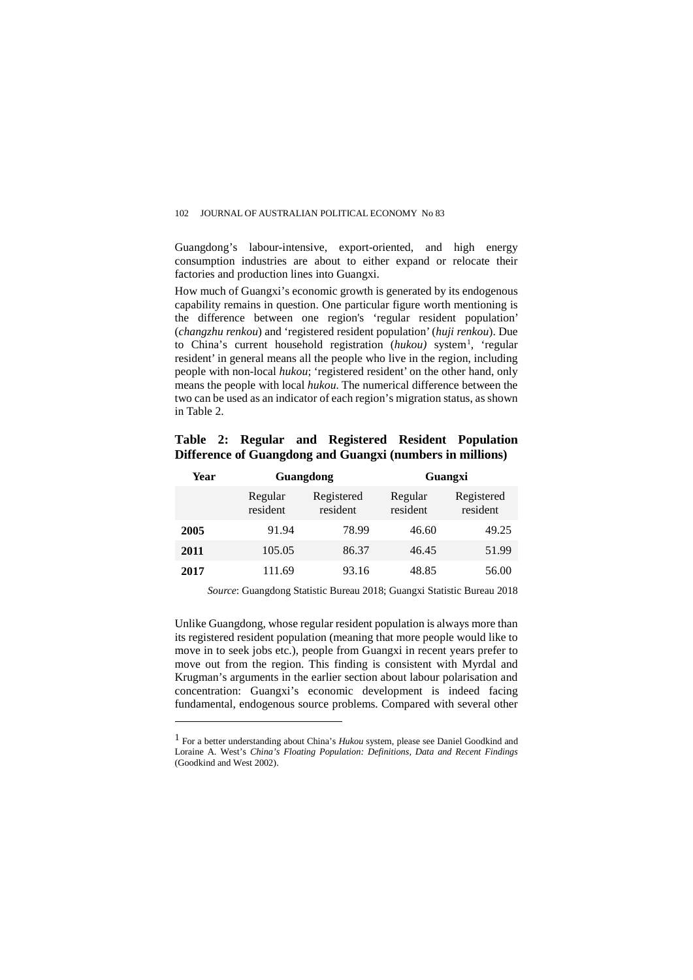Guangdong's labour-intensive, export-oriented, and high energy consumption industries are about to either expand or relocate their factories and production lines into Guangxi.

How much of Guangxi's economic growth is generated by its endogenous capability remains in question. One particular figure worth mentioning is the difference between one region's 'regular resident population' (*changzhu renkou*) and 'registered resident population' (*huji renkou*). Due to China's current household registration (hukou) system<sup>[1](#page-16-0)</sup>, 'regular resident' in general means all the people who live in the region, including people with non-local *hukou*; 'registered resident' on the other hand, only means the people with local *hukou.* The numerical difference between the two can be used as an indicator of each region's migration status, as shown in Table 2.

|  |  |                                                           | Table 2: Regular and Registered Resident Population |
|--|--|-----------------------------------------------------------|-----------------------------------------------------|
|  |  | Difference of Guangdong and Guangxi (numbers in millions) |                                                     |

| Year | <b>Guangdong</b>    |                        | Guangxi             |                        |
|------|---------------------|------------------------|---------------------|------------------------|
|      | Regular<br>resident | Registered<br>resident | Regular<br>resident | Registered<br>resident |
| 2005 | 91.94               | 78.99                  | 46.60               | 49.25                  |
| 2011 | 105.05              | 86.37                  | 46.45               | 51.99                  |
| 2017 | 111.69              | 93.16                  | 48.85               | 56.00                  |

*Source*: Guangdong Statistic Bureau 2018; Guangxi Statistic Bureau 2018

Unlike Guangdong, whose regular resident population is always more than its registered resident population (meaning that more people would like to move in to seek jobs etc.), people from Guangxi in recent years prefer to move out from the region. This finding is consistent with Myrdal and Krugman's arguments in the earlier section about labour polarisation and concentration: Guangxi's economic development is indeed facing fundamental, endogenous source problems. Compared with several other

 $\overline{a}$ 

<span id="page-16-0"></span><sup>1</sup> For a better understanding about China's *Hukou* system, please see Daniel Goodkind and Loraine A. West's *China's Floating Population: Definitions, Data and Recent Findings* (Goodkind and West 2002).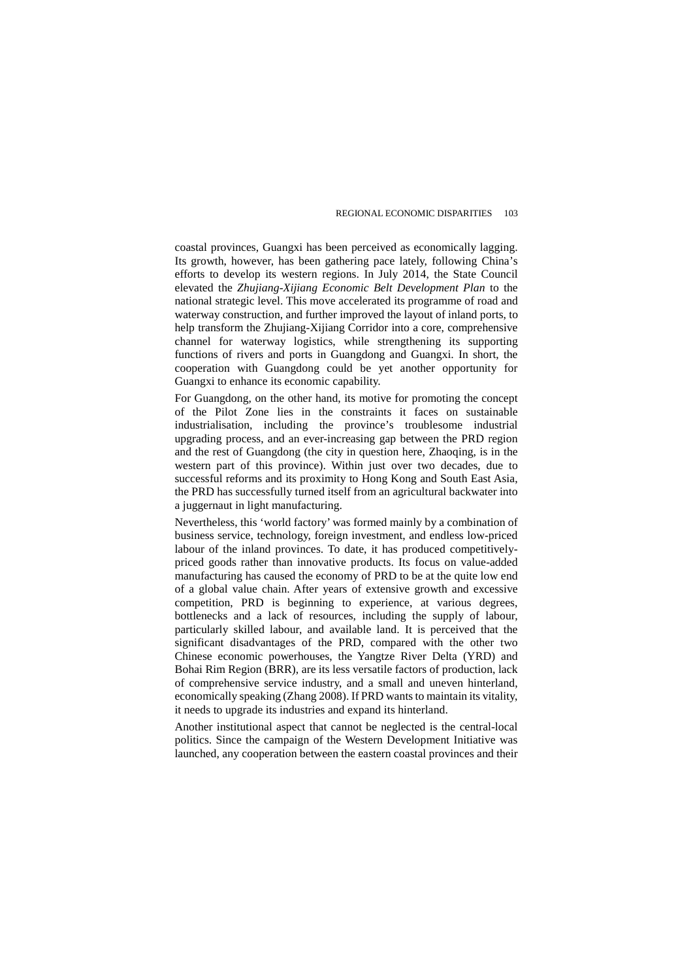coastal provinces, Guangxi has been perceived as economically lagging. Its growth, however, has been gathering pace lately, following China's efforts to develop its western regions. In July 2014, the State Council elevated the *Zhujiang-Xijiang Economic Belt Development Plan* to the national strategic level. This move accelerated its programme of road and waterway construction, and further improved the layout of inland ports, to help transform the Zhujiang-Xijiang Corridor into a core, comprehensive channel for waterway logistics, while strengthening its supporting functions of rivers and ports in Guangdong and Guangxi. In short, the cooperation with Guangdong could be yet another opportunity for Guangxi to enhance its economic capability.

For Guangdong, on the other hand, its motive for promoting the concept of the Pilot Zone lies in the constraints it faces on sustainable industrialisation, including the province's troublesome industrial upgrading process, and an ever-increasing gap between the PRD region and the rest of Guangdong (the city in question here, Zhaoqing, is in the western part of this province). Within just over two decades, due to successful reforms and its proximity to Hong Kong and South East Asia, the PRD has successfully turned itself from an agricultural backwater into a juggernaut in light manufacturing.

Nevertheless, this 'world factory' was formed mainly by a combination of business service, technology, foreign investment, and endless low-priced labour of the inland provinces. To date, it has produced competitivelypriced goods rather than innovative products. Its focus on value-added manufacturing has caused the economy of PRD to be at the quite low end of a global value chain. After years of extensive growth and excessive competition, PRD is beginning to experience, at various degrees, bottlenecks and a lack of resources, including the supply of labour, particularly skilled labour, and available land. It is perceived that the significant disadvantages of the PRD, compared with the other two Chinese economic powerhouses, the Yangtze River Delta (YRD) and Bohai Rim Region (BRR), are its less versatile factors of production, lack of comprehensive service industry, and a small and uneven hinterland, economically speaking (Zhang 2008). If PRD wants to maintain its vitality, it needs to upgrade its industries and expand its hinterland.

Another institutional aspect that cannot be neglected is the central-local politics. Since the campaign of the Western Development Initiative was launched, any cooperation between the eastern coastal provinces and their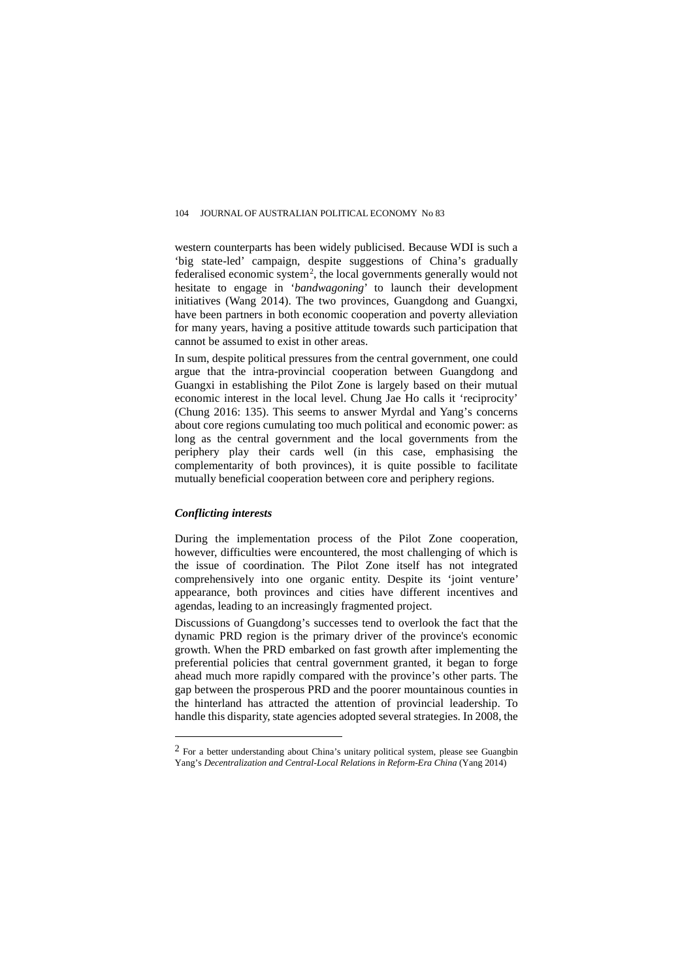western counterparts has been widely publicised. Because WDI is such a 'big state-led' campaign, despite suggestions of China's gradually federalised economic system<sup>[2](#page-18-0)</sup>, the local governments generally would not hesitate to engage in '*bandwagoning*' to launch their development initiatives (Wang 2014). The two provinces, Guangdong and Guangxi, have been partners in both economic cooperation and poverty alleviation for many years, having a positive attitude towards such participation that cannot be assumed to exist in other areas.

In sum, despite political pressures from the central government, one could argue that the intra-provincial cooperation between Guangdong and Guangxi in establishing the Pilot Zone is largely based on their mutual economic interest in the local level. Chung Jae Ho calls it 'reciprocity' (Chung 2016: 135). This seems to answer Myrdal and Yang's concerns about core regions cumulating too much political and economic power: as long as the central government and the local governments from the periphery play their cards well (in this case, emphasising the complementarity of both provinces), it is quite possible to facilitate mutually beneficial cooperation between core and periphery regions.

#### *Conflicting interests*

 $\overline{a}$ 

During the implementation process of the Pilot Zone cooperation, however, difficulties were encountered, the most challenging of which is the issue of coordination. The Pilot Zone itself has not integrated comprehensively into one organic entity. Despite its 'joint venture' appearance, both provinces and cities have different incentives and agendas, leading to an increasingly fragmented project.

Discussions of Guangdong's successes tend to overlook the fact that the dynamic PRD region is the primary driver of the province's economic growth. When the PRD embarked on fast growth after implementing the preferential policies that central government granted, it began to forge ahead much more rapidly compared with the province's other parts. The gap between the prosperous PRD and the poorer mountainous counties in the hinterland has attracted the attention of provincial leadership. To handle this disparity, state agencies adopted several strategies. In 2008, the

<span id="page-18-0"></span> $<sup>2</sup>$  For a better understanding about China's unitary political system, please see Guangbin</sup> Yang's *Decentralization and Central-Local Relations in Reform-Era China* (Yang 2014)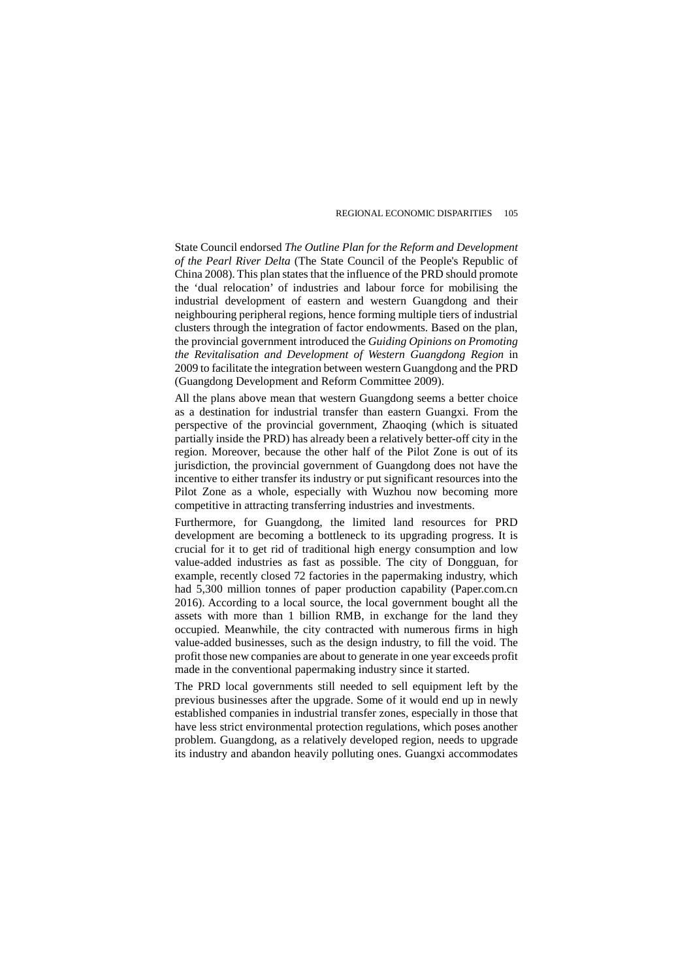State Council endorsed *The Outline Plan for the Reform and Development of the Pearl River Delta* (The State Council of the People's Republic of China 2008). This plan states that the influence of the PRD should promote the 'dual relocation' of industries and labour force for mobilising the industrial development of eastern and western Guangdong and their neighbouring peripheral regions, hence forming multiple tiers of industrial clusters through the integration of factor endowments. Based on the plan, the provincial government introduced the *Guiding Opinions on Promoting the Revitalisation and Development of Western Guangdong Region* in 2009 to facilitate the integration between western Guangdong and the PRD (Guangdong Development and Reform Committee 2009).

All the plans above mean that western Guangdong seems a better choice as a destination for industrial transfer than eastern Guangxi. From the perspective of the provincial government, Zhaoqing (which is situated partially inside the PRD) has already been a relatively better-off city in the region. Moreover, because the other half of the Pilot Zone is out of its jurisdiction, the provincial government of Guangdong does not have the incentive to either transfer its industry or put significant resources into the Pilot Zone as a whole, especially with Wuzhou now becoming more competitive in attracting transferring industries and investments.

Furthermore, for Guangdong, the limited land resources for PRD development are becoming a bottleneck to its upgrading progress. It is crucial for it to get rid of traditional high energy consumption and low value-added industries as fast as possible. The city of Dongguan, for example, recently closed 72 factories in the papermaking industry, which had 5,300 million tonnes of paper production capability (Paper.com.cn 2016). According to a local source, the local government bought all the assets with more than 1 billion RMB, in exchange for the land they occupied. Meanwhile, the city contracted with numerous firms in high value-added businesses, such as the design industry, to fill the void. The profit those new companies are about to generate in one year exceeds profit made in the conventional papermaking industry since it started.

The PRD local governments still needed to sell equipment left by the previous businesses after the upgrade. Some of it would end up in newly established companies in industrial transfer zones, especially in those that have less strict environmental protection regulations, which poses another problem. Guangdong, as a relatively developed region, needs to upgrade its industry and abandon heavily polluting ones. Guangxi accommodates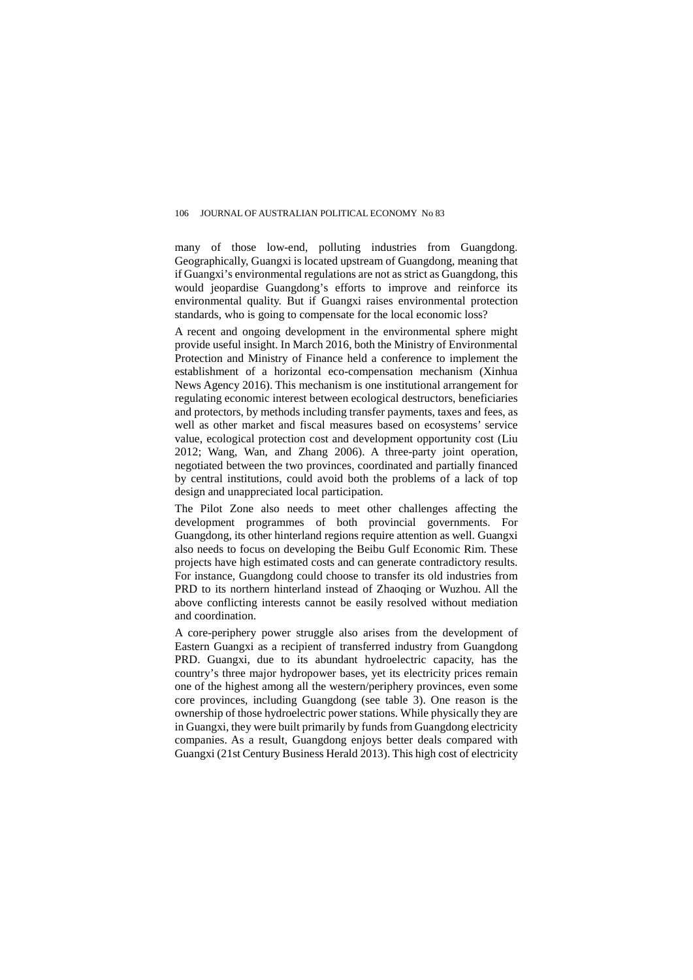many of those low-end, polluting industries from Guangdong. Geographically, Guangxi is located upstream of Guangdong, meaning that if Guangxi's environmental regulations are not as strict as Guangdong, this would jeopardise Guangdong's efforts to improve and reinforce its environmental quality. But if Guangxi raises environmental protection standards, who is going to compensate for the local economic loss?

A recent and ongoing development in the environmental sphere might provide useful insight. In March 2016, both the Ministry of Environmental Protection and Ministry of Finance held a conference to implement the establishment of a horizontal eco-compensation mechanism (Xinhua News Agency 2016). This mechanism is one institutional arrangement for regulating economic interest between ecological destructors, beneficiaries and protectors, by methods including transfer payments, taxes and fees, as well as other market and fiscal measures based on ecosystems' service value, ecological protection cost and development opportunity cost (Liu 2012; Wang, Wan, and Zhang 2006). A three-party joint operation, negotiated between the two provinces, coordinated and partially financed by central institutions, could avoid both the problems of a lack of top design and unappreciated local participation.

The Pilot Zone also needs to meet other challenges affecting the development programmes of both provincial governments. For Guangdong, its other hinterland regions require attention as well. Guangxi also needs to focus on developing the Beibu Gulf Economic Rim. These projects have high estimated costs and can generate contradictory results. For instance, Guangdong could choose to transfer its old industries from PRD to its northern hinterland instead of Zhaoqing or Wuzhou. All the above conflicting interests cannot be easily resolved without mediation and coordination.

A core-periphery power struggle also arises from the development of Eastern Guangxi as a recipient of transferred industry from Guangdong PRD. Guangxi, due to its abundant hydroelectric capacity, has the country's three major hydropower bases, yet its electricity prices remain one of the highest among all the western/periphery provinces, even some core provinces, including Guangdong (see table 3). One reason is the ownership of those hydroelectric power stations. While physically they are in Guangxi, they were built primarily by funds from Guangdong electricity companies. As a result, Guangdong enjoys better deals compared with Guangxi (21st Century Business Herald 2013). This high cost of electricity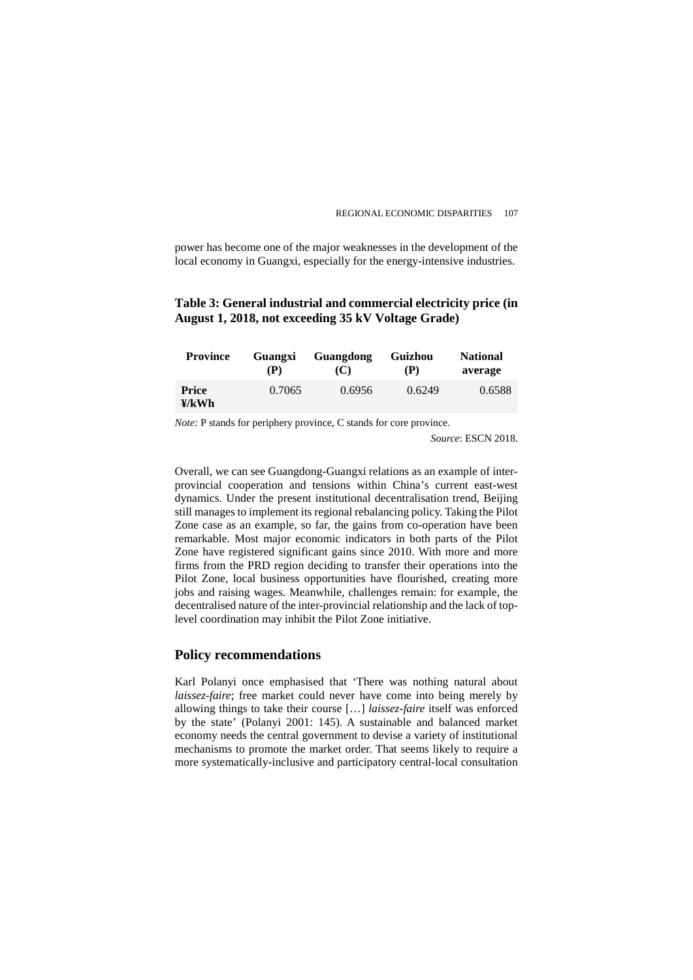power has become one of the major weaknesses in the development of the local economy in Guangxi, especially for the energy-intensive industries.

# **Table 3: General industrial and commercial electricity price (in August 1, 2018, not exceeding 35 kV Voltage Grade)**

| <b>Province</b> | Guangxi | Guangdong | Guizhou | <b>National</b> |
|-----------------|---------|-----------|---------|-----------------|
|                 | (P)     | (C)       | (P)     | average         |
| Price<br>¥/kWh  | 0.7065  | 0.6956    | 0.6249  | 0.6588          |

*Note:* P stands for periphery province, C stands for core province.

*Source*: ESCN 2018.

Overall, we can see Guangdong-Guangxi relations as an example of interprovincial cooperation and tensions within China's current east-west dynamics. Under the present institutional decentralisation trend, Beijing still manages to implement its regional rebalancing policy. Taking the Pilot Zone case as an example, so far, the gains from co-operation have been remarkable. Most major economic indicators in both parts of the Pilot Zone have registered significant gains since 2010. With more and more firms from the PRD region deciding to transfer their operations into the Pilot Zone, local business opportunities have flourished, creating more jobs and raising wages. Meanwhile, challenges remain: for example, the decentralised nature of the inter-provincial relationship and the lack of toplevel coordination may inhibit the Pilot Zone initiative.

# **Policy recommendations**

Karl Polanyi once emphasised that 'There was nothing natural about *laissez-faire*; free market could never have come into being merely by allowing things to take their course […] *laissez-faire* itself was enforced by the state' (Polanyi 2001: 145). A sustainable and balanced market economy needs the central government to devise a variety of institutional mechanisms to promote the market order. That seems likely to require a more systematically-inclusive and participatory central-local consultation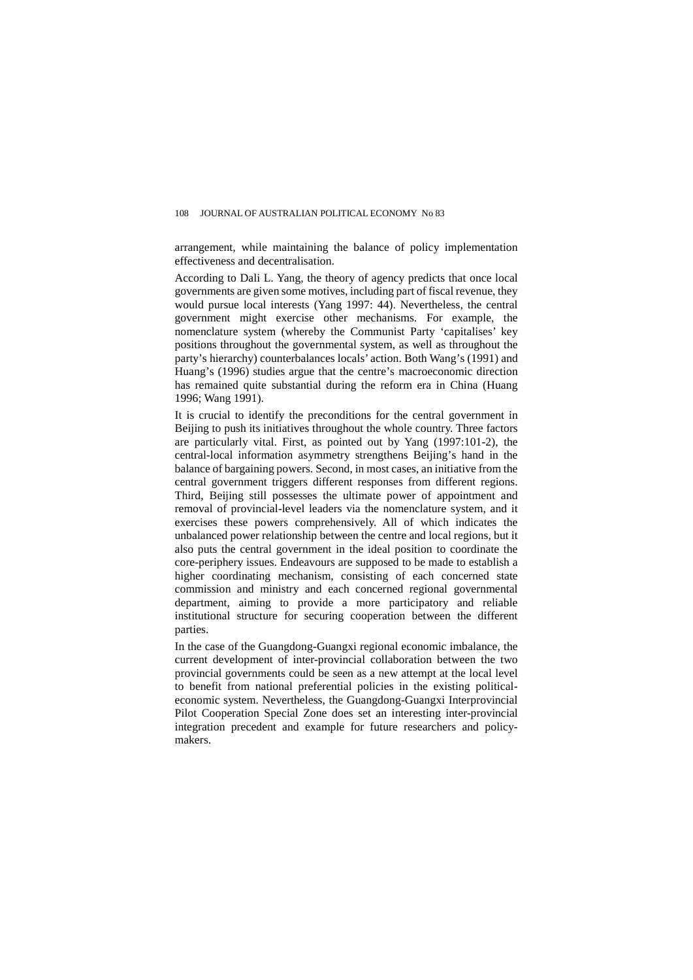arrangement, while maintaining the balance of policy implementation effectiveness and decentralisation.

According to Dali L. Yang, the theory of agency predicts that once local governments are given some motives, including part of fiscal revenue, they would pursue local interests (Yang 1997: 44). Nevertheless, the central government might exercise other mechanisms. For example, the nomenclature system (whereby the Communist Party 'capitalises' key positions throughout the governmental system, as well as throughout the party's hierarchy) counterbalances locals' action. Both Wang's (1991) and Huang's (1996) studies argue that the centre's macroeconomic direction has remained quite substantial during the reform era in China (Huang 1996; Wang 1991).

It is crucial to identify the preconditions for the central government in Beijing to push its initiatives throughout the whole country. Three factors are particularly vital. First, as pointed out by Yang (1997:101-2), the central-local information asymmetry strengthens Beijing's hand in the balance of bargaining powers. Second, in most cases, an initiative from the central government triggers different responses from different regions. Third, Beijing still possesses the ultimate power of appointment and removal of provincial-level leaders via the nomenclature system, and it exercises these powers comprehensively. All of which indicates the unbalanced power relationship between the centre and local regions, but it also puts the central government in the ideal position to coordinate the core-periphery issues. Endeavours are supposed to be made to establish a higher coordinating mechanism, consisting of each concerned state commission and ministry and each concerned regional governmental department, aiming to provide a more participatory and reliable institutional structure for securing cooperation between the different parties.

In the case of the Guangdong-Guangxi regional economic imbalance, the current development of inter-provincial collaboration between the two provincial governments could be seen as a new attempt at the local level to benefit from national preferential policies in the existing politicaleconomic system. Nevertheless, the Guangdong-Guangxi Interprovincial Pilot Cooperation Special Zone does set an interesting inter-provincial integration precedent and example for future researchers and policymakers.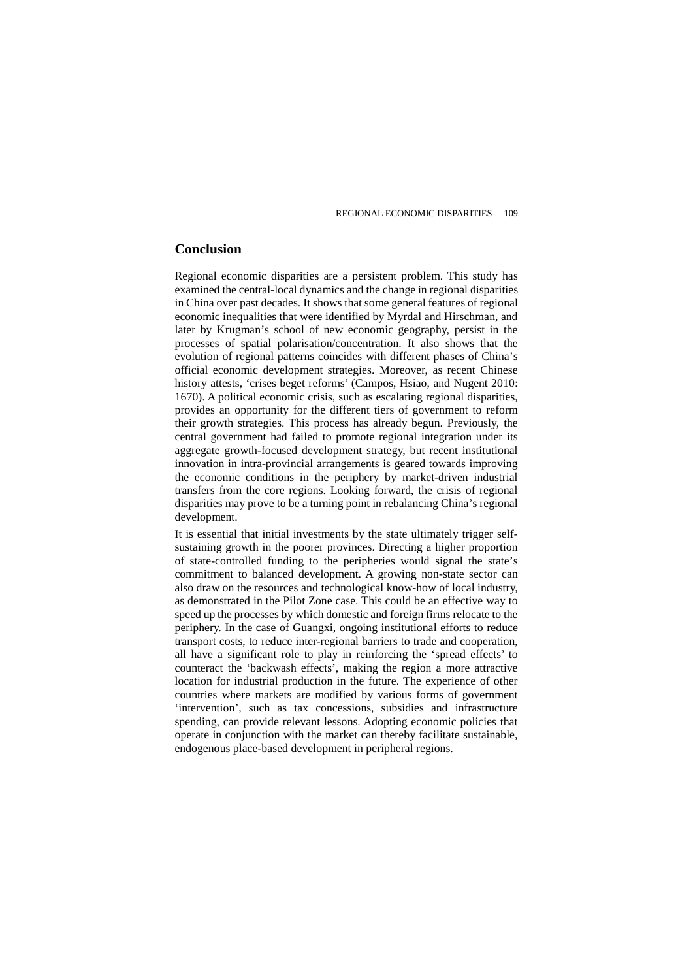# **Conclusion**

Regional economic disparities are a persistent problem. This study has examined the central-local dynamics and the change in regional disparities in China over past decades. It shows that some general features of regional economic inequalities that were identified by Myrdal and Hirschman, and later by Krugman's school of new economic geography, persist in the processes of spatial polarisation/concentration. It also shows that the evolution of regional patterns coincides with different phases of China's official economic development strategies. Moreover, as recent Chinese history attests, 'crises beget reforms' (Campos, Hsiao, and Nugent 2010: 1670). A political economic crisis, such as escalating regional disparities, provides an opportunity for the different tiers of government to reform their growth strategies. This process has already begun. Previously, the central government had failed to promote regional integration under its aggregate growth-focused development strategy, but recent institutional innovation in intra-provincial arrangements is geared towards improving the economic conditions in the periphery by market-driven industrial transfers from the core regions. Looking forward, the crisis of regional disparities may prove to be a turning point in rebalancing China's regional development.

It is essential that initial investments by the state ultimately trigger selfsustaining growth in the poorer provinces. Directing a higher proportion of state-controlled funding to the peripheries would signal the state's commitment to balanced development. A growing non-state sector can also draw on the resources and technological know-how of local industry, as demonstrated in the Pilot Zone case. This could be an effective way to speed up the processes by which domestic and foreign firms relocate to the periphery. In the case of Guangxi, ongoing institutional efforts to reduce transport costs, to reduce inter-regional barriers to trade and cooperation, all have a significant role to play in reinforcing the 'spread effects' to counteract the 'backwash effects', making the region a more attractive location for industrial production in the future. The experience of other countries where markets are modified by various forms of government 'intervention', such as tax concessions, subsidies and infrastructure spending, can provide relevant lessons. Adopting economic policies that operate in conjunction with the market can thereby facilitate sustainable, endogenous place-based development in peripheral regions.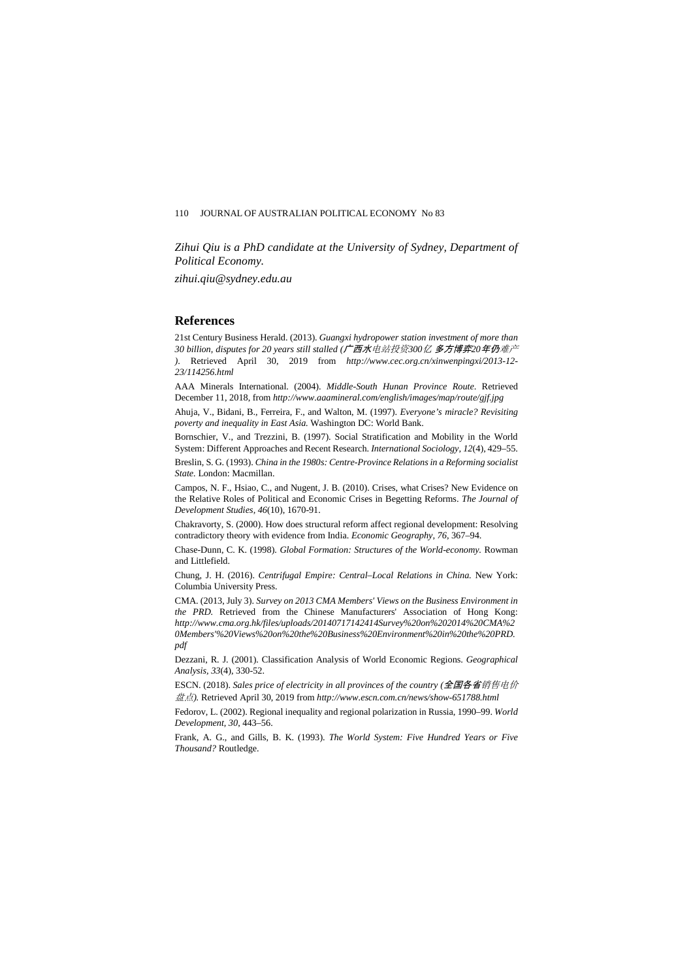*Zihui Qiu is a PhD candidate at the University of Sydney, Department of Political Economy.*

*zihui.qiu@sydney.edu.au*

# **References**

21st Century Business Herald. (2013). *Guangxi hydropower station investment of more than 30 billion, disputes for 20 years still stalled (*广西水电站投资*300*亿 多方博弈*20*年仍难产 *)*. Retrieved April 30, 2019 from *http://www.cec.org.cn/xinwenpingxi/2013-12- 23/114256.html*

AAA Minerals International. (2004). *Middle-South Hunan Province Route*. Retrieved December 11, 2018, from *http://www.aaamineral.com/english/images/map/route/gjf.jpg*

Ahuja, V., Bidani, B., Ferreira, F., and Walton, M. (1997). *Everyone's miracle? Revisiting poverty and inequality in East Asia.* Washington DC: World Bank.

Bornschier, V., and Trezzini, B. (1997). Social Stratification and Mobility in the World System: Different Approaches and Recent Research. *International Sociology, 12*(4), 429–55.

Breslin, S. G. (1993). *China in the 1980s: Centre-Province Relations in a Reforming socialist State.* London: Macmillan.

Campos, N. F., Hsiao, C., and Nugent, J. B. (2010). Crises, what Crises? New Evidence on the Relative Roles of Political and Economic Crises in Begetting Reforms. *The Journal of Development Studies, 46*(10), 1670-91.

Chakravorty, S. (2000). How does structural reform affect regional development: Resolving contradictory theory with evidence from India. *Economic Geography, 76*, 367–94.

Chase-Dunn, C. K. (1998). *Global Formation: Structures of the World-economy.* Rowman and Littlefield.

Chung, J. H. (2016). *Centrifugal Empire: Central–Local Relations in China.* New York: Columbia University Press.

CMA. (2013, July 3). *Survey on 2013 CMA Members' Views on the Business Environment in the PRD.* Retrieved from the Chinese Manufacturers' Association of Hong Kong: *http://www.cma.org.hk/files/uploads/20140717142414Survey%20on%202014%20CMA%2 0Members'%20Views%20on%20the%20Business%20Environment%20in%20the%20PRD. pdf*

Dezzani, R. J. (2001). Classification Analysis of World Economic Regions. *Geographical Analysis, 33*(4), 330-52.

ESCN. (2018). *Sales price of electricity in all provinces of the country (*全国各省销售电价 盘点*).* Retrieved April 30, 2019 from *http://www.escn.com.cn/news/show-651788.html*

Fedorov, L. (2002). Regional inequality and regional polarization in Russia, 1990–99. *World Development, 30*, 443–56.

Frank, A. G., and Gills, B. K. (1993). *The World System: Five Hundred Years or Five Thousand?* Routledge.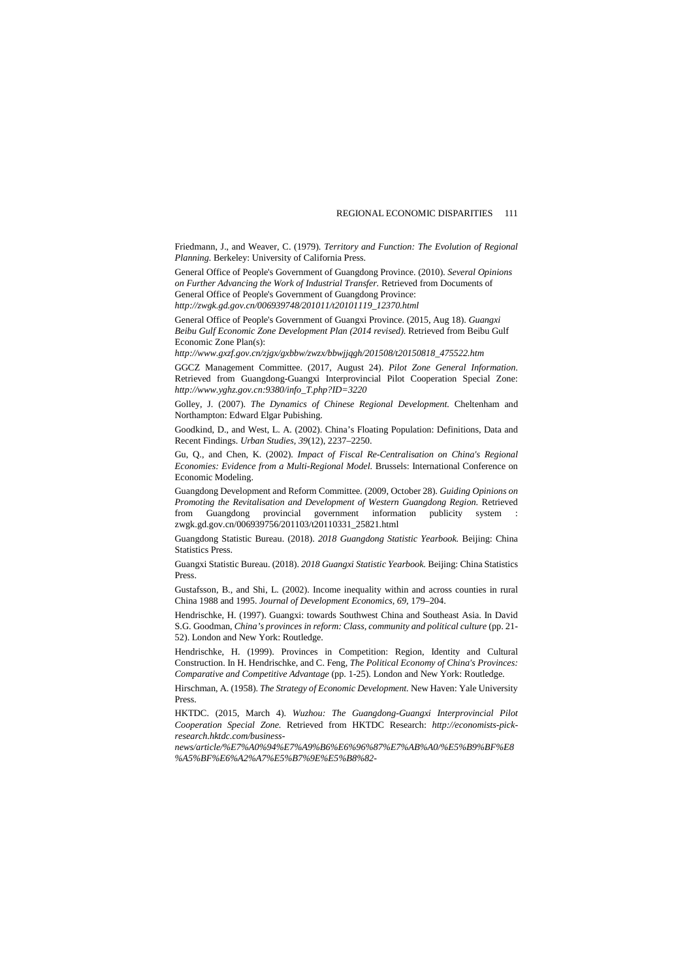Friedmann, J., and Weaver, C. (1979). *Territory and Function: The Evolution of Regional Planning.* Berkeley: University of California Press.

General Office of People's Government of Guangdong Province. (2010). *Several Opinions on Further Advancing the Work of Industrial Transfer.* Retrieved from Documents of General Office of People's Government of Guangdong Province: *http://zwgk.gd.gov.cn/006939748/201011/t20101119\_12370.html*

General Office of People's Government of Guangxi Province. (2015, Aug 18). *Guangxi Beibu Gulf Economic Zone Development Plan (2014 revised).* Retrieved from Beibu Gulf Economic Zone Plan(s):

*http://www.gxzf.gov.cn/zjgx/gxbbw/zwzx/bbwjjqgh/201508/t20150818\_475522.htm*

GGCZ Management Committee. (2017, August 24). *Pilot Zone General Information*. Retrieved from Guangdong-Guangxi Interprovincial Pilot Cooperation Special Zone: *http://www.yghz.gov.cn:9380/info\_T.php?ID=3220*

Golley, J. (2007). *The Dynamics of Chinese Regional Development.* Cheltenham and Northampton: Edward Elgar Pubishing.

Goodkind, D., and West, L. A. (2002). China's Floating Population: Definitions, Data and Recent Findings. *Urban Studies, 39*(12), 2237–2250.

Gu, Q., and Chen, K. (2002). *Impact of Fiscal Re-Centralisation on China's Regional Economies: Evidence from a Multi-Regional Model.* Brussels: International Conference on Economic Modeling.

Guangdong Development and Reform Committee. (2009, October 28). *Guiding Opinions on Promoting the Revitalisation and Development of Western Guangdong Region.* Retrieved from Guangdong provincial government information publicity system : zwgk.gd.gov.cn/006939756/201103/t20110331\_25821.html

Guangdong Statistic Bureau. (2018). *2018 Guangdong Statistic Yearbook.* Beijing: China Statistics Press.

Guangxi Statistic Bureau. (2018). *2018 Guangxi Statistic Yearbook.* Beijing: China Statistics Press.

Gustafsson, B., and Shi, L. (2002). Income inequality within and across counties in rural China 1988 and 1995. *Journal of Development Economics, 69*, 179–204.

Hendrischke, H. (1997). Guangxi: towards Southwest China and Southeast Asia. In David S.G. Goodman, *China's provinces in reform: Class, community and political culture* (pp. 21-52). London and New York: Routledge.

Hendrischke, H. (1999). Provinces in Competition: Region, Identity and Cultural Construction. In H. Hendrischke, and C. Feng, *The Political Economy of China's Provinces: Comparative and Competitive Advantage* (pp. 1-25). London and New York: Routledge.

Hirschman, A. (1958). *The Strategy of Economic Development.* New Haven: Yale University Press.

HKTDC. (2015, March 4). *Wuzhou: The Guangdong-Guangxi Interprovincial Pilot Cooperation Special Zone.* Retrieved from HKTDC Research: *http://economists-pickresearch.hktdc.com/business-*

*news/article/%E7%A0%94%E7%A9%B6%E6%96%87%E7%AB%A0/%E5%B9%BF%E8 %A5%BF%E6%A2%A7%E5%B7%9E%E5%B8%82-*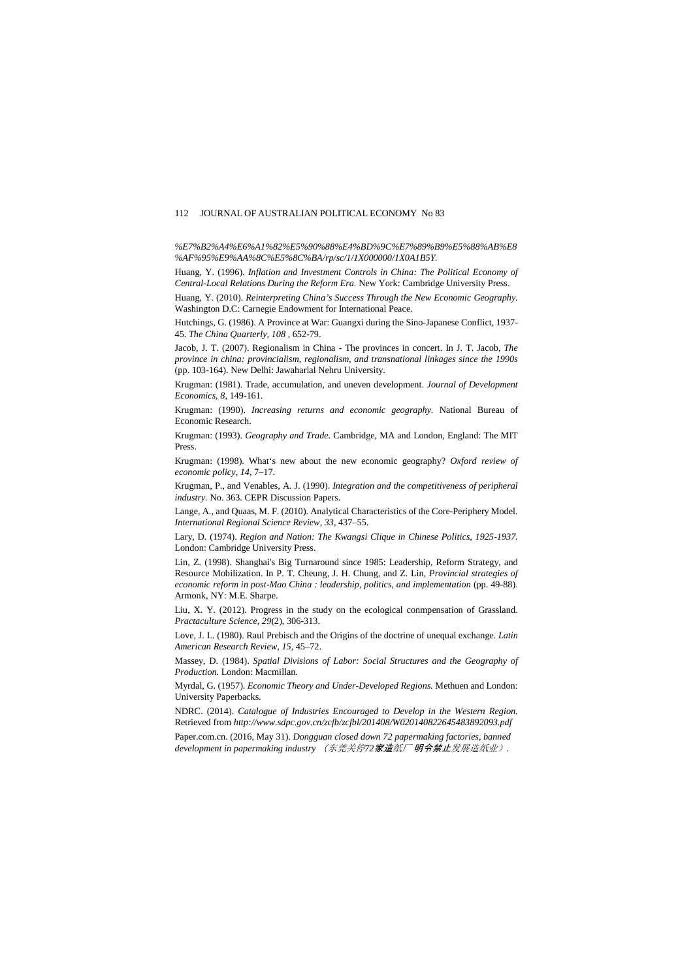*%E7%B2%A4%E6%A1%82%E5%90%88%E4%BD%9C%E7%89%B9%E5%88%AB%E8 %AF%95%E9%AA%8C%E5%8C%BA/rp/sc/1/1X000000/1X0A1B5Y.*

Huang, Y. (1996). *Inflation and Investment Controls in China: The Political Economy of Central-Local Relations During the Reform Era.* New York: Cambridge University Press.

Huang, Y. (2010). *Reinterpreting China's Success Through the New Economic Geography.* Washington D.C: Carnegie Endowment for International Peace.

Hutchings, G. (1986). A Province at War: Guangxi during the Sino-Japanese Conflict, 1937- 45. *The China Quarterly, 108* , 652-79.

Jacob, J. T. (2007). Regionalism in China - The provinces in concert. In J. T. Jacob, *The province in china: provincialism, regionalism, and transnational linkages since the 1990s* (pp. 103-164). New Delhi: Jawaharlal Nehru University.

Krugman: (1981). Trade, accumulation, and uneven development. *Journal of Development Economics, 8*, 149-161.

Krugman: (1990). *Increasing returns and economic geography.* National Bureau of Economic Research.

Krugman: (1993). *Geography and Trade.* Cambridge, MA and London, England: The MIT Press.

Krugman: (1998). What's new about the new economic geography? *Oxford review of economic policy, 14*, 7–17.

Krugman, P., and Venables, A. J. (1990). *Integration and the competitiveness of peripheral industry.* No. 363. CEPR Discussion Papers.

Lange, A., and Quaas, M. F. (2010). Analytical Characteristics of the Core-Periphery Model. *International Regional Science Review, 33*, 437–55.

Lary, D. (1974). *Region and Nation: The Kwangsi Clique in Chinese Politics, 1925-1937.* London: Cambridge University Press.

Lin, Z. (1998). Shanghai's Big Turnaround since 1985: Leadership, Reform Strategy, and Resource Mobilization. In P. T. Cheung, J. H. Chung, and Z. Lin, *Provincial strategies of economic reform in post-Mao China : leadership, politics, and implementation* (pp. 49-88). Armonk, NY: M.E. Sharpe.

Liu, X. Y. (2012). Progress in the study on the ecological conmpensation of Grassland. *Practaculture Science, 29*(2), 306-313.

Love, J. L. (1980). Raul Prebisch and the Origins of the doctrine of unequal exchange. *Latin American Research Review, 15*, 45–72.

Massey, D. (1984). *Spatial Divisions of Labor: Social Structures and the Geography of Production.* London: Macmillan.

Myrdal, G. (1957). *Economic Theory and Under-Developed Regions.* Methuen and London: University Paperbacks.

NDRC. (2014). *Catalogue of Industries Encouraged to Develop in the Western Region.* Retrieved from *http://www.sdpc.gov.cn/zcfb/zcfbl/201408/W020140822645483892093.pdf*

Paper.com.cn. (2016, May 31). *Dongguan closed down 72 papermaking factories, banned development in papermaking industry* (东莞关停*72*家造纸厂 明令禁止发展造纸业)*.*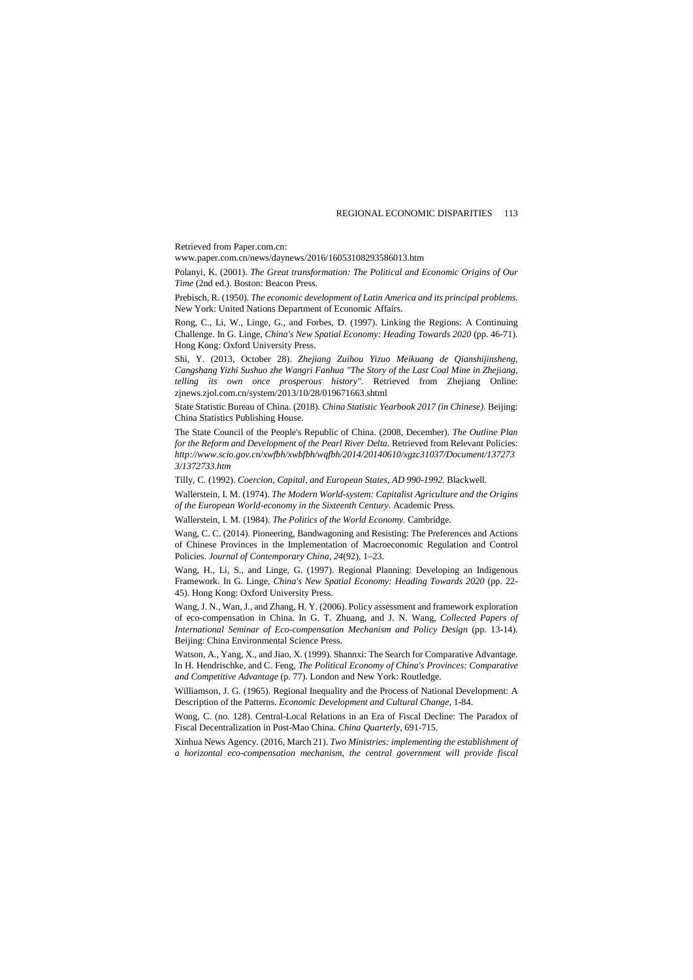Retrieved from Paper.com.cn:

www.paper.com.cn/news/daynews/2016/16053108293586013.htm

Polanyi, K. (2001). *The Great transformation: The Political and Economic Origins of Our Time* (2nd ed.). Boston: Beacon Press.

Prebisch, R. (1950). *The economic development of Latin America and its principal problems.* New York: United Nations Department of Economic Affairs.

Rong, C., Li, W., Linge, G., and Forbes, D. (1997). Linking the Regions: A Continuing Challenge. In G. Linge, *China's New Spatial Economy: Heading Towards 2020* (pp. 46-71). Hong Kong: Oxford University Press.

Shi, Y. (2013, October 28). *Zhejiang Zuihou Yizuo Meikuang de Qianshijinsheng, Cangshang Yizhi Sushuo zhe Wangri Fanhua "The Story of the Last Coal Mine in Zhejiang, telling its own once prosperous history"*. Retrieved from Zhejiang Online: zjnews.zjol.com.cn/system/2013/10/28/019671663.shtml

State Statistic Bureau of China. (2018). *China Statistic Yearbook 2017 (in Chinese).* Beijing: China Statistics Publishing House.

The State Council of the People's Republic of China. (2008, December). *The Outline Plan for the Reform and Development of the Pearl River Delta.* Retrieved from Relevant Policies: *http://www.scio.gov.cn/xwfbh/xwbfbh/wqfbh/2014/20140610/xgzc31037/Document/137273 3/1372733.htm*

Tilly, C. (1992). *Coercion, Capital, and European States, AD 990-1992.* Blackwell.

Wallerstein, I. M. (1974). *The Modern World-system: Capitalist Agriculture and the Origins of the European World-economy in the Sixteenth Century.* Academic Press.

Wallerstein, I. M. (1984). *The Politics of the World Economy.* Cambridge.

Wang, C. C. (2014). Pioneering, Bandwagoning and Resisting: The Preferences and Actions of Chinese Provinces in the Implementation of Macroeconomic Regulation and Control Policies. *Journal of Contemporary China, 24*(92), 1–23.

Wang, H., Li, S., and Linge, G. (1997). Regional Planning: Developing an Indigenous Framework. In G. Linge, *China's New Spatial Economy: Heading Towards 2020* (pp. 22- 45). Hong Kong: Oxford University Press.

Wang, J. N., Wan, J., and Zhang, H. Y. (2006). Policy assessment and framework exploration of eco-compensation in China. In G. T. Zhuang, and J. N. Wang, *Collected Papers of International Seminar of Eco-compensation Mechanism and Policy Design* (pp. 13-14). Beijing: China Environmental Science Press.

Watson, A., Yang, X., and Jiao, X. (1999). Shannxi: The Search for Comparative Advantage. In H. Hendrischke, and C. Feng, *The Political Economy of China's Provinces: Comparative and Competitive Advantage* (p. 77). London and New York: Routledge.

Williamson, J. G. (1965). Regional Inequality and the Process of National Development: A Description of the Patterns. *Economic Development and Cultural Change*, 1-84.

Wong, C. (no. 128). Central-Local Relations in an Era of Fiscal Decline: The Paradox of Fiscal Decentralization in Post-Mao China. *China Quarterly*, 691-715.

Xinhua News Agency. (2016, March 21). *Two Ministries: implementing the establishment of a horizontal eco-compensation mechanism, the central government will provide fiscal*